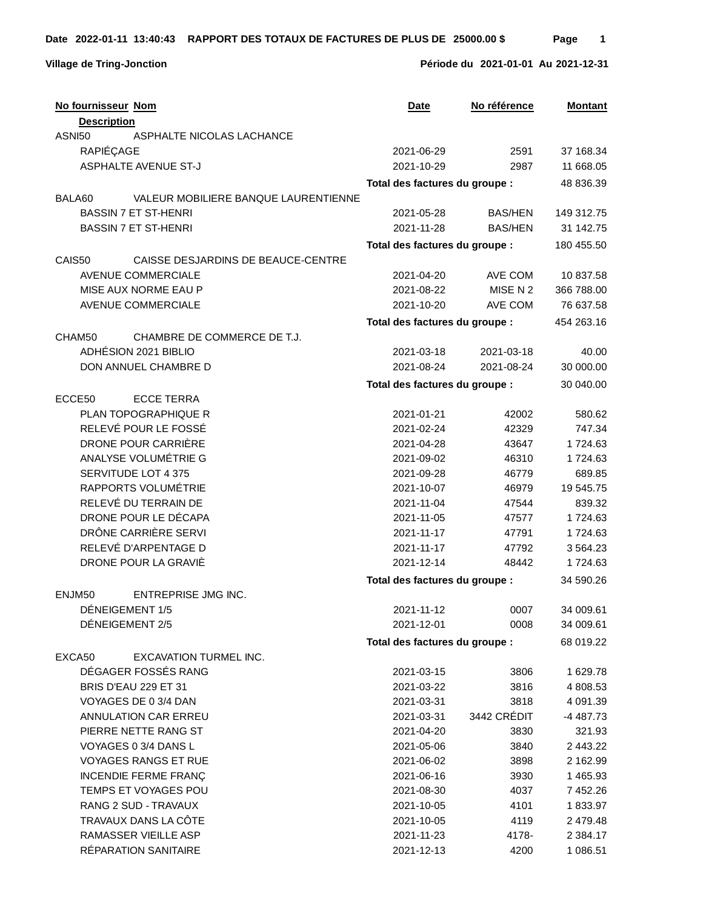|        | No fournisseur Nom                   | Date                           | No référence   | <b>Montant</b> |
|--------|--------------------------------------|--------------------------------|----------------|----------------|
|        | <b>Description</b>                   |                                |                |                |
| ASNI50 | ASPHALTE NICOLAS LACHANCE            |                                |                |                |
|        | RAPIÉÇAGE                            | 2021-06-29                     | 2591           | 37 168.34      |
|        | <b>ASPHALTE AVENUE ST-J</b>          | 2021-10-29                     | 2987           | 11 668.05      |
|        |                                      | Total des factures du groupe : |                | 48 836.39      |
| BALA60 | VALEUR MOBILIERE BANQUE LAURENTIENNE |                                |                |                |
|        | <b>BASSIN 7 ET ST-HENRI</b>          | 2021-05-28                     | <b>BAS/HEN</b> | 149 312.75     |
|        | <b>BASSIN 7 ET ST-HENRI</b>          | 2021-11-28                     | <b>BAS/HEN</b> | 31 142.75      |
|        |                                      | Total des factures du groupe : |                | 180 455.50     |
| CAIS50 | CAISSE DESJARDINS DE BEAUCE-CENTRE   |                                |                |                |
|        | <b>AVENUE COMMERCIALE</b>            | 2021-04-20                     | AVE COM        | 10 837.58      |
|        | MISE AUX NORME EAU P                 | 2021-08-22                     | MISE N 2       | 366 788.00     |
|        | AVENUE COMMERCIALE                   | 2021-10-20                     | AVE COM        | 76 637.58      |
|        |                                      | Total des factures du groupe : |                | 454 263.16     |
| CHAM50 | CHAMBRE DE COMMERCE DE T.J.          |                                |                |                |
|        | ADHÉSION 2021 BIBLIO                 | 2021-03-18                     | 2021-03-18     | 40.00          |
|        | DON ANNUEL CHAMBRE D                 | 2021-08-24                     | 2021-08-24     | 30 000.00      |
|        |                                      |                                |                |                |
|        |                                      | Total des factures du groupe : |                | 30 040.00      |
| ECCE50 | <b>ECCE TERRA</b>                    |                                |                |                |
|        | <b>PLAN TOPOGRAPHIQUE R</b>          | 2021-01-21                     | 42002          | 580.62         |
|        | RELEVÉ POUR LE FOSSÉ                 | 2021-02-24                     | 42329          | 747.34         |
|        | DRONE POUR CARRIÈRE                  | 2021-04-28                     | 43647          | 1724.63        |
|        | ANALYSE VOLUMÉTRIE G                 | 2021-09-02                     | 46310          | 1724.63        |
|        | SERVITUDE LOT 4 375                  | 2021-09-28                     | 46779          | 689.85         |
|        | RAPPORTS VOLUMÉTRIE                  | 2021-10-07                     | 46979          | 19 545.75      |
|        | RELEVÉ DU TERRAIN DE                 | 2021-11-04                     | 47544          | 839.32         |
|        | DRONE POUR LE DÉCAPA                 | 2021-11-05                     | 47577          | 1724.63        |
|        | DRÔNE CARRIÈRE SERVI                 | 2021-11-17                     | 47791          | 1724.63        |
|        | RELEVÉ D'ARPENTAGE D                 | 2021-11-17                     | 47792          | 3 5 64.23      |
|        | DRONE POUR LA GRAVIÈ                 | 2021-12-14                     | 48442          | 1724.63        |
|        |                                      | Total des factures du groupe : |                | 34 590.26      |
| ENJM50 | <b>ENTREPRISE JMG INC.</b>           |                                |                |                |
|        | DÉNEIGEMENT 1/5                      | 2021-11-12                     | 0007           | 34 009.61      |
|        | DÉNEIGEMENT 2/5                      | 2021-12-01                     | 0008           | 34 009.61      |
|        |                                      | Total des factures du groupe : |                | 68 019.22      |
| EXCA50 | <b>EXCAVATION TURMEL INC.</b>        |                                |                |                |
|        | DÉGAGER FOSSÉS RANG                  | 2021-03-15                     | 3806           | 1 629.78       |
|        | <b>BRIS D'EAU 229 ET 31</b>          | 2021-03-22                     | 3816           | 4 808.53       |
|        | VOYAGES DE 0 3/4 DAN                 | 2021-03-31                     | 3818           | 4 091.39       |
|        | ANNULATION CAR ERREU                 | 2021-03-31                     | 3442 CRÉDIT    | -4 487.73      |
|        | PIERRE NETTE RANG ST                 | 2021-04-20                     | 3830           | 321.93         |
|        | VOYAGES 0 3/4 DANS L                 | 2021-05-06                     | 3840           | 2 443.22       |
|        | <b>VOYAGES RANGS ET RUE</b>          | 2021-06-02                     | 3898           | 2 162.99       |
|        | <b>INCENDIE FERME FRANÇ</b>          | 2021-06-16                     | 3930           | 1 465.93       |
|        | TEMPS ET VOYAGES POU                 | 2021-08-30                     | 4037           | 7 452.26       |
|        | RANG 2 SUD - TRAVAUX                 | 2021-10-05                     | 4101           | 1833.97        |
|        | TRAVAUX DANS LA CÔTE                 | 2021-10-05                     | 4119           | 2 479.48       |
|        | RAMASSER VIEILLE ASP                 | 2021-11-23                     | 4178-          | 2 3 8 4 . 1 7  |
|        | RÉPARATION SANITAIRE                 | 2021-12-13                     | 4200           | 1 086.51       |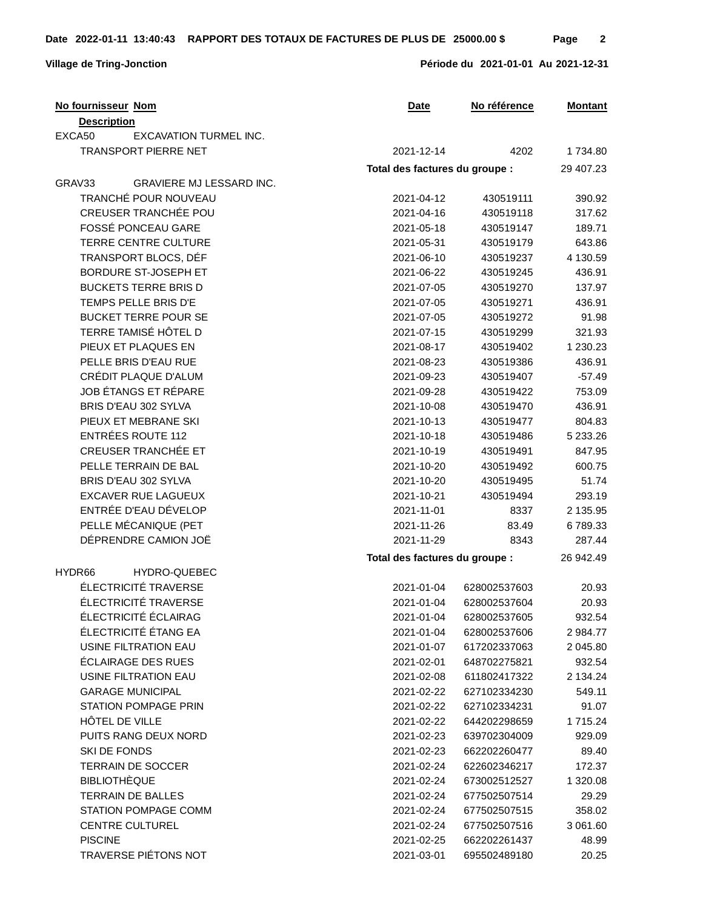**Village de Tring-Jonction Période du 2021-01-01 Au 2021-12-31**

| <b>Description</b><br>EXCA50<br><b>EXCAVATION TURMEL INC.</b><br>TRANSPORT PIERRE NET<br>2021-12-14<br>4202<br>1734.80<br>Total des factures du groupe :<br>29 407.23<br>GRAV33<br>GRAVIERE MJ LESSARD INC.<br>TRANCHÉ POUR NOUVEAU<br>2021-04-12<br>430519111<br>390.92<br>CREUSER TRANCHÉE POU<br>2021-04-16<br>430519118<br>317.62<br>FOSSÉ PONCEAU GARE<br>2021-05-18<br>430519147<br>189.71<br>TERRE CENTRE CULTURE<br>643.86<br>2021-05-31<br>430519179<br>TRANSPORT BLOCS, DÉF<br>2021-06-10<br>4 130.59<br>430519237<br>BORDURE ST-JOSEPH ET<br>2021-06-22<br>436.91<br>430519245<br><b>BUCKETS TERRE BRIS D</b><br>2021-07-05<br>430519270<br>137.97<br>TEMPS PELLE BRIS D'E<br>2021-07-05<br>430519271<br>436.91<br><b>BUCKET TERRE POUR SE</b><br>2021-07-05<br>430519272<br>91.98<br>TERRE TAMISÉ HÔTEL D<br>2021-07-15<br>430519299<br>321.93<br>PIEUX ET PLAQUES EN<br>1 230.23<br>2021-08-17<br>430519402<br>PELLE BRIS D'EAU RUE<br>2021-08-23<br>430519386<br>436.91<br>CRÉDIT PLAQUE D'ALUM<br>2021-09-23<br>430519407<br>$-57.49$<br>JOB ÉTANGS ET RÉPARE<br>753.09<br>2021-09-28<br>430519422<br>BRIS D'EAU 302 SYLVA<br>436.91<br>2021-10-08<br>430519470<br>PIEUX ET MEBRANE SKI<br>804.83<br>2021-10-13<br>430519477<br><b>ENTRÉES ROUTE 112</b><br>2021-10-18<br>430519486<br>5 233.26<br><b>CREUSER TRANCHÉE ET</b><br>2021-10-19<br>430519491<br>847.95<br>PELLE TERRAIN DE BAL<br>2021-10-20<br>600.75<br>430519492<br>BRIS D'EAU 302 SYLVA<br>51.74<br>2021-10-20<br>430519495<br><b>EXCAVER RUE LAGUEUX</b><br>2021-10-21<br>430519494<br>293.19<br>ENTRÉE D'EAU DÉVELOP<br>2 135.95<br>2021-11-01<br>8337<br>PELLE MÉCANIQUE (PET<br>2021-11-26<br>83.49<br>6789.33<br>DÉPRENDRE CAMION JOË<br>2021-11-29<br>287.44<br>8343<br>Total des factures du groupe :<br>26 942.49<br>HYDRO-QUEBEC<br>HYDR66<br>ÉLECTRICITÉ TRAVERSE<br>628002537603<br>2021-01-04<br>20.93<br>ÉLECTRICITÉ TRAVERSE<br>2021-01-04<br>628002537604<br>20.93<br>ÉLECTRICITÉ ÉCLAIRAG<br>2021-01-04<br>628002537605<br>932.54<br>ÉLECTRICITÉ ÉTANG EA<br>2021-01-04<br>628002537606<br>2 984.77<br>USINE FILTRATION EAU<br>2021-01-07<br>617202337063<br>2 045.80<br>ÉCLAIRAGE DES RUES<br>932.54<br>2021-02-01<br>648702275821<br>USINE FILTRATION EAU<br>611802417322<br>2021-02-08<br>2 134.24<br><b>GARAGE MUNICIPAL</b><br>2021-02-22<br>627102334230<br>549.11<br><b>STATION POMPAGE PRIN</b><br>2021-02-22<br>627102334231<br>91.07<br>HÔTEL DE VILLE<br>2021-02-22<br>644202298659<br>1 715.24<br>PUITS RANG DEUX NORD<br>2021-02-23<br>639702304009<br>929.09<br>SKI DE FONDS<br>662202260477<br>2021-02-23<br>89.40<br><b>TERRAIN DE SOCCER</b><br>2021-02-24<br>622602346217<br>172.37<br><b>BIBLIOTHÈQUE</b><br>2021-02-24<br>673002512527<br>1 320.08<br>TERRAIN DE BALLES<br>2021-02-24<br>677502507514<br>29.29<br>STATION POMPAGE COMM<br>2021-02-24<br>677502507515<br>358.02<br><b>CENTRE CULTUREL</b><br>2021-02-24<br>677502507516<br>3 061.60<br><b>PISCINE</b><br>2021-02-25<br>662202261437<br>48.99<br>TRAVERSE PIÉTONS NOT<br>2021-03-01<br>695502489180<br>20.25 | No fournisseur Nom | No référence<br>Date | <b>Montant</b> |
|-----------------------------------------------------------------------------------------------------------------------------------------------------------------------------------------------------------------------------------------------------------------------------------------------------------------------------------------------------------------------------------------------------------------------------------------------------------------------------------------------------------------------------------------------------------------------------------------------------------------------------------------------------------------------------------------------------------------------------------------------------------------------------------------------------------------------------------------------------------------------------------------------------------------------------------------------------------------------------------------------------------------------------------------------------------------------------------------------------------------------------------------------------------------------------------------------------------------------------------------------------------------------------------------------------------------------------------------------------------------------------------------------------------------------------------------------------------------------------------------------------------------------------------------------------------------------------------------------------------------------------------------------------------------------------------------------------------------------------------------------------------------------------------------------------------------------------------------------------------------------------------------------------------------------------------------------------------------------------------------------------------------------------------------------------------------------------------------------------------------------------------------------------------------------------------------------------------------------------------------------------------------------------------------------------------------------------------------------------------------------------------------------------------------------------------------------------------------------------------------------------------------------------------------------------------------------------------------------------------------------------------------------------------------------------------------------------------------------------------------------------------------------------------------------------------------------------------------------------------------------------------------------------------------------------------------------------------------------------------------------------------------------------------------------------------------------------------------------|--------------------|----------------------|----------------|
|                                                                                                                                                                                                                                                                                                                                                                                                                                                                                                                                                                                                                                                                                                                                                                                                                                                                                                                                                                                                                                                                                                                                                                                                                                                                                                                                                                                                                                                                                                                                                                                                                                                                                                                                                                                                                                                                                                                                                                                                                                                                                                                                                                                                                                                                                                                                                                                                                                                                                                                                                                                                                                                                                                                                                                                                                                                                                                                                                                                                                                                                                               |                    |                      |                |
|                                                                                                                                                                                                                                                                                                                                                                                                                                                                                                                                                                                                                                                                                                                                                                                                                                                                                                                                                                                                                                                                                                                                                                                                                                                                                                                                                                                                                                                                                                                                                                                                                                                                                                                                                                                                                                                                                                                                                                                                                                                                                                                                                                                                                                                                                                                                                                                                                                                                                                                                                                                                                                                                                                                                                                                                                                                                                                                                                                                                                                                                                               |                    |                      |                |
|                                                                                                                                                                                                                                                                                                                                                                                                                                                                                                                                                                                                                                                                                                                                                                                                                                                                                                                                                                                                                                                                                                                                                                                                                                                                                                                                                                                                                                                                                                                                                                                                                                                                                                                                                                                                                                                                                                                                                                                                                                                                                                                                                                                                                                                                                                                                                                                                                                                                                                                                                                                                                                                                                                                                                                                                                                                                                                                                                                                                                                                                                               |                    |                      |                |
|                                                                                                                                                                                                                                                                                                                                                                                                                                                                                                                                                                                                                                                                                                                                                                                                                                                                                                                                                                                                                                                                                                                                                                                                                                                                                                                                                                                                                                                                                                                                                                                                                                                                                                                                                                                                                                                                                                                                                                                                                                                                                                                                                                                                                                                                                                                                                                                                                                                                                                                                                                                                                                                                                                                                                                                                                                                                                                                                                                                                                                                                                               |                    |                      |                |
|                                                                                                                                                                                                                                                                                                                                                                                                                                                                                                                                                                                                                                                                                                                                                                                                                                                                                                                                                                                                                                                                                                                                                                                                                                                                                                                                                                                                                                                                                                                                                                                                                                                                                                                                                                                                                                                                                                                                                                                                                                                                                                                                                                                                                                                                                                                                                                                                                                                                                                                                                                                                                                                                                                                                                                                                                                                                                                                                                                                                                                                                                               |                    |                      |                |
|                                                                                                                                                                                                                                                                                                                                                                                                                                                                                                                                                                                                                                                                                                                                                                                                                                                                                                                                                                                                                                                                                                                                                                                                                                                                                                                                                                                                                                                                                                                                                                                                                                                                                                                                                                                                                                                                                                                                                                                                                                                                                                                                                                                                                                                                                                                                                                                                                                                                                                                                                                                                                                                                                                                                                                                                                                                                                                                                                                                                                                                                                               |                    |                      |                |
|                                                                                                                                                                                                                                                                                                                                                                                                                                                                                                                                                                                                                                                                                                                                                                                                                                                                                                                                                                                                                                                                                                                                                                                                                                                                                                                                                                                                                                                                                                                                                                                                                                                                                                                                                                                                                                                                                                                                                                                                                                                                                                                                                                                                                                                                                                                                                                                                                                                                                                                                                                                                                                                                                                                                                                                                                                                                                                                                                                                                                                                                                               |                    |                      |                |
|                                                                                                                                                                                                                                                                                                                                                                                                                                                                                                                                                                                                                                                                                                                                                                                                                                                                                                                                                                                                                                                                                                                                                                                                                                                                                                                                                                                                                                                                                                                                                                                                                                                                                                                                                                                                                                                                                                                                                                                                                                                                                                                                                                                                                                                                                                                                                                                                                                                                                                                                                                                                                                                                                                                                                                                                                                                                                                                                                                                                                                                                                               |                    |                      |                |
|                                                                                                                                                                                                                                                                                                                                                                                                                                                                                                                                                                                                                                                                                                                                                                                                                                                                                                                                                                                                                                                                                                                                                                                                                                                                                                                                                                                                                                                                                                                                                                                                                                                                                                                                                                                                                                                                                                                                                                                                                                                                                                                                                                                                                                                                                                                                                                                                                                                                                                                                                                                                                                                                                                                                                                                                                                                                                                                                                                                                                                                                                               |                    |                      |                |
|                                                                                                                                                                                                                                                                                                                                                                                                                                                                                                                                                                                                                                                                                                                                                                                                                                                                                                                                                                                                                                                                                                                                                                                                                                                                                                                                                                                                                                                                                                                                                                                                                                                                                                                                                                                                                                                                                                                                                                                                                                                                                                                                                                                                                                                                                                                                                                                                                                                                                                                                                                                                                                                                                                                                                                                                                                                                                                                                                                                                                                                                                               |                    |                      |                |
|                                                                                                                                                                                                                                                                                                                                                                                                                                                                                                                                                                                                                                                                                                                                                                                                                                                                                                                                                                                                                                                                                                                                                                                                                                                                                                                                                                                                                                                                                                                                                                                                                                                                                                                                                                                                                                                                                                                                                                                                                                                                                                                                                                                                                                                                                                                                                                                                                                                                                                                                                                                                                                                                                                                                                                                                                                                                                                                                                                                                                                                                                               |                    |                      |                |
|                                                                                                                                                                                                                                                                                                                                                                                                                                                                                                                                                                                                                                                                                                                                                                                                                                                                                                                                                                                                                                                                                                                                                                                                                                                                                                                                                                                                                                                                                                                                                                                                                                                                                                                                                                                                                                                                                                                                                                                                                                                                                                                                                                                                                                                                                                                                                                                                                                                                                                                                                                                                                                                                                                                                                                                                                                                                                                                                                                                                                                                                                               |                    |                      |                |
|                                                                                                                                                                                                                                                                                                                                                                                                                                                                                                                                                                                                                                                                                                                                                                                                                                                                                                                                                                                                                                                                                                                                                                                                                                                                                                                                                                                                                                                                                                                                                                                                                                                                                                                                                                                                                                                                                                                                                                                                                                                                                                                                                                                                                                                                                                                                                                                                                                                                                                                                                                                                                                                                                                                                                                                                                                                                                                                                                                                                                                                                                               |                    |                      |                |
|                                                                                                                                                                                                                                                                                                                                                                                                                                                                                                                                                                                                                                                                                                                                                                                                                                                                                                                                                                                                                                                                                                                                                                                                                                                                                                                                                                                                                                                                                                                                                                                                                                                                                                                                                                                                                                                                                                                                                                                                                                                                                                                                                                                                                                                                                                                                                                                                                                                                                                                                                                                                                                                                                                                                                                                                                                                                                                                                                                                                                                                                                               |                    |                      |                |
|                                                                                                                                                                                                                                                                                                                                                                                                                                                                                                                                                                                                                                                                                                                                                                                                                                                                                                                                                                                                                                                                                                                                                                                                                                                                                                                                                                                                                                                                                                                                                                                                                                                                                                                                                                                                                                                                                                                                                                                                                                                                                                                                                                                                                                                                                                                                                                                                                                                                                                                                                                                                                                                                                                                                                                                                                                                                                                                                                                                                                                                                                               |                    |                      |                |
|                                                                                                                                                                                                                                                                                                                                                                                                                                                                                                                                                                                                                                                                                                                                                                                                                                                                                                                                                                                                                                                                                                                                                                                                                                                                                                                                                                                                                                                                                                                                                                                                                                                                                                                                                                                                                                                                                                                                                                                                                                                                                                                                                                                                                                                                                                                                                                                                                                                                                                                                                                                                                                                                                                                                                                                                                                                                                                                                                                                                                                                                                               |                    |                      |                |
|                                                                                                                                                                                                                                                                                                                                                                                                                                                                                                                                                                                                                                                                                                                                                                                                                                                                                                                                                                                                                                                                                                                                                                                                                                                                                                                                                                                                                                                                                                                                                                                                                                                                                                                                                                                                                                                                                                                                                                                                                                                                                                                                                                                                                                                                                                                                                                                                                                                                                                                                                                                                                                                                                                                                                                                                                                                                                                                                                                                                                                                                                               |                    |                      |                |
|                                                                                                                                                                                                                                                                                                                                                                                                                                                                                                                                                                                                                                                                                                                                                                                                                                                                                                                                                                                                                                                                                                                                                                                                                                                                                                                                                                                                                                                                                                                                                                                                                                                                                                                                                                                                                                                                                                                                                                                                                                                                                                                                                                                                                                                                                                                                                                                                                                                                                                                                                                                                                                                                                                                                                                                                                                                                                                                                                                                                                                                                                               |                    |                      |                |
|                                                                                                                                                                                                                                                                                                                                                                                                                                                                                                                                                                                                                                                                                                                                                                                                                                                                                                                                                                                                                                                                                                                                                                                                                                                                                                                                                                                                                                                                                                                                                                                                                                                                                                                                                                                                                                                                                                                                                                                                                                                                                                                                                                                                                                                                                                                                                                                                                                                                                                                                                                                                                                                                                                                                                                                                                                                                                                                                                                                                                                                                                               |                    |                      |                |
|                                                                                                                                                                                                                                                                                                                                                                                                                                                                                                                                                                                                                                                                                                                                                                                                                                                                                                                                                                                                                                                                                                                                                                                                                                                                                                                                                                                                                                                                                                                                                                                                                                                                                                                                                                                                                                                                                                                                                                                                                                                                                                                                                                                                                                                                                                                                                                                                                                                                                                                                                                                                                                                                                                                                                                                                                                                                                                                                                                                                                                                                                               |                    |                      |                |
|                                                                                                                                                                                                                                                                                                                                                                                                                                                                                                                                                                                                                                                                                                                                                                                                                                                                                                                                                                                                                                                                                                                                                                                                                                                                                                                                                                                                                                                                                                                                                                                                                                                                                                                                                                                                                                                                                                                                                                                                                                                                                                                                                                                                                                                                                                                                                                                                                                                                                                                                                                                                                                                                                                                                                                                                                                                                                                                                                                                                                                                                                               |                    |                      |                |
|                                                                                                                                                                                                                                                                                                                                                                                                                                                                                                                                                                                                                                                                                                                                                                                                                                                                                                                                                                                                                                                                                                                                                                                                                                                                                                                                                                                                                                                                                                                                                                                                                                                                                                                                                                                                                                                                                                                                                                                                                                                                                                                                                                                                                                                                                                                                                                                                                                                                                                                                                                                                                                                                                                                                                                                                                                                                                                                                                                                                                                                                                               |                    |                      |                |
|                                                                                                                                                                                                                                                                                                                                                                                                                                                                                                                                                                                                                                                                                                                                                                                                                                                                                                                                                                                                                                                                                                                                                                                                                                                                                                                                                                                                                                                                                                                                                                                                                                                                                                                                                                                                                                                                                                                                                                                                                                                                                                                                                                                                                                                                                                                                                                                                                                                                                                                                                                                                                                                                                                                                                                                                                                                                                                                                                                                                                                                                                               |                    |                      |                |
|                                                                                                                                                                                                                                                                                                                                                                                                                                                                                                                                                                                                                                                                                                                                                                                                                                                                                                                                                                                                                                                                                                                                                                                                                                                                                                                                                                                                                                                                                                                                                                                                                                                                                                                                                                                                                                                                                                                                                                                                                                                                                                                                                                                                                                                                                                                                                                                                                                                                                                                                                                                                                                                                                                                                                                                                                                                                                                                                                                                                                                                                                               |                    |                      |                |
|                                                                                                                                                                                                                                                                                                                                                                                                                                                                                                                                                                                                                                                                                                                                                                                                                                                                                                                                                                                                                                                                                                                                                                                                                                                                                                                                                                                                                                                                                                                                                                                                                                                                                                                                                                                                                                                                                                                                                                                                                                                                                                                                                                                                                                                                                                                                                                                                                                                                                                                                                                                                                                                                                                                                                                                                                                                                                                                                                                                                                                                                                               |                    |                      |                |
|                                                                                                                                                                                                                                                                                                                                                                                                                                                                                                                                                                                                                                                                                                                                                                                                                                                                                                                                                                                                                                                                                                                                                                                                                                                                                                                                                                                                                                                                                                                                                                                                                                                                                                                                                                                                                                                                                                                                                                                                                                                                                                                                                                                                                                                                                                                                                                                                                                                                                                                                                                                                                                                                                                                                                                                                                                                                                                                                                                                                                                                                                               |                    |                      |                |
|                                                                                                                                                                                                                                                                                                                                                                                                                                                                                                                                                                                                                                                                                                                                                                                                                                                                                                                                                                                                                                                                                                                                                                                                                                                                                                                                                                                                                                                                                                                                                                                                                                                                                                                                                                                                                                                                                                                                                                                                                                                                                                                                                                                                                                                                                                                                                                                                                                                                                                                                                                                                                                                                                                                                                                                                                                                                                                                                                                                                                                                                                               |                    |                      |                |
|                                                                                                                                                                                                                                                                                                                                                                                                                                                                                                                                                                                                                                                                                                                                                                                                                                                                                                                                                                                                                                                                                                                                                                                                                                                                                                                                                                                                                                                                                                                                                                                                                                                                                                                                                                                                                                                                                                                                                                                                                                                                                                                                                                                                                                                                                                                                                                                                                                                                                                                                                                                                                                                                                                                                                                                                                                                                                                                                                                                                                                                                                               |                    |                      |                |
|                                                                                                                                                                                                                                                                                                                                                                                                                                                                                                                                                                                                                                                                                                                                                                                                                                                                                                                                                                                                                                                                                                                                                                                                                                                                                                                                                                                                                                                                                                                                                                                                                                                                                                                                                                                                                                                                                                                                                                                                                                                                                                                                                                                                                                                                                                                                                                                                                                                                                                                                                                                                                                                                                                                                                                                                                                                                                                                                                                                                                                                                                               |                    |                      |                |
|                                                                                                                                                                                                                                                                                                                                                                                                                                                                                                                                                                                                                                                                                                                                                                                                                                                                                                                                                                                                                                                                                                                                                                                                                                                                                                                                                                                                                                                                                                                                                                                                                                                                                                                                                                                                                                                                                                                                                                                                                                                                                                                                                                                                                                                                                                                                                                                                                                                                                                                                                                                                                                                                                                                                                                                                                                                                                                                                                                                                                                                                                               |                    |                      |                |
|                                                                                                                                                                                                                                                                                                                                                                                                                                                                                                                                                                                                                                                                                                                                                                                                                                                                                                                                                                                                                                                                                                                                                                                                                                                                                                                                                                                                                                                                                                                                                                                                                                                                                                                                                                                                                                                                                                                                                                                                                                                                                                                                                                                                                                                                                                                                                                                                                                                                                                                                                                                                                                                                                                                                                                                                                                                                                                                                                                                                                                                                                               |                    |                      |                |
|                                                                                                                                                                                                                                                                                                                                                                                                                                                                                                                                                                                                                                                                                                                                                                                                                                                                                                                                                                                                                                                                                                                                                                                                                                                                                                                                                                                                                                                                                                                                                                                                                                                                                                                                                                                                                                                                                                                                                                                                                                                                                                                                                                                                                                                                                                                                                                                                                                                                                                                                                                                                                                                                                                                                                                                                                                                                                                                                                                                                                                                                                               |                    |                      |                |
|                                                                                                                                                                                                                                                                                                                                                                                                                                                                                                                                                                                                                                                                                                                                                                                                                                                                                                                                                                                                                                                                                                                                                                                                                                                                                                                                                                                                                                                                                                                                                                                                                                                                                                                                                                                                                                                                                                                                                                                                                                                                                                                                                                                                                                                                                                                                                                                                                                                                                                                                                                                                                                                                                                                                                                                                                                                                                                                                                                                                                                                                                               |                    |                      |                |
|                                                                                                                                                                                                                                                                                                                                                                                                                                                                                                                                                                                                                                                                                                                                                                                                                                                                                                                                                                                                                                                                                                                                                                                                                                                                                                                                                                                                                                                                                                                                                                                                                                                                                                                                                                                                                                                                                                                                                                                                                                                                                                                                                                                                                                                                                                                                                                                                                                                                                                                                                                                                                                                                                                                                                                                                                                                                                                                                                                                                                                                                                               |                    |                      |                |
|                                                                                                                                                                                                                                                                                                                                                                                                                                                                                                                                                                                                                                                                                                                                                                                                                                                                                                                                                                                                                                                                                                                                                                                                                                                                                                                                                                                                                                                                                                                                                                                                                                                                                                                                                                                                                                                                                                                                                                                                                                                                                                                                                                                                                                                                                                                                                                                                                                                                                                                                                                                                                                                                                                                                                                                                                                                                                                                                                                                                                                                                                               |                    |                      |                |
|                                                                                                                                                                                                                                                                                                                                                                                                                                                                                                                                                                                                                                                                                                                                                                                                                                                                                                                                                                                                                                                                                                                                                                                                                                                                                                                                                                                                                                                                                                                                                                                                                                                                                                                                                                                                                                                                                                                                                                                                                                                                                                                                                                                                                                                                                                                                                                                                                                                                                                                                                                                                                                                                                                                                                                                                                                                                                                                                                                                                                                                                                               |                    |                      |                |
|                                                                                                                                                                                                                                                                                                                                                                                                                                                                                                                                                                                                                                                                                                                                                                                                                                                                                                                                                                                                                                                                                                                                                                                                                                                                                                                                                                                                                                                                                                                                                                                                                                                                                                                                                                                                                                                                                                                                                                                                                                                                                                                                                                                                                                                                                                                                                                                                                                                                                                                                                                                                                                                                                                                                                                                                                                                                                                                                                                                                                                                                                               |                    |                      |                |
|                                                                                                                                                                                                                                                                                                                                                                                                                                                                                                                                                                                                                                                                                                                                                                                                                                                                                                                                                                                                                                                                                                                                                                                                                                                                                                                                                                                                                                                                                                                                                                                                                                                                                                                                                                                                                                                                                                                                                                                                                                                                                                                                                                                                                                                                                                                                                                                                                                                                                                                                                                                                                                                                                                                                                                                                                                                                                                                                                                                                                                                                                               |                    |                      |                |
|                                                                                                                                                                                                                                                                                                                                                                                                                                                                                                                                                                                                                                                                                                                                                                                                                                                                                                                                                                                                                                                                                                                                                                                                                                                                                                                                                                                                                                                                                                                                                                                                                                                                                                                                                                                                                                                                                                                                                                                                                                                                                                                                                                                                                                                                                                                                                                                                                                                                                                                                                                                                                                                                                                                                                                                                                                                                                                                                                                                                                                                                                               |                    |                      |                |
|                                                                                                                                                                                                                                                                                                                                                                                                                                                                                                                                                                                                                                                                                                                                                                                                                                                                                                                                                                                                                                                                                                                                                                                                                                                                                                                                                                                                                                                                                                                                                                                                                                                                                                                                                                                                                                                                                                                                                                                                                                                                                                                                                                                                                                                                                                                                                                                                                                                                                                                                                                                                                                                                                                                                                                                                                                                                                                                                                                                                                                                                                               |                    |                      |                |
|                                                                                                                                                                                                                                                                                                                                                                                                                                                                                                                                                                                                                                                                                                                                                                                                                                                                                                                                                                                                                                                                                                                                                                                                                                                                                                                                                                                                                                                                                                                                                                                                                                                                                                                                                                                                                                                                                                                                                                                                                                                                                                                                                                                                                                                                                                                                                                                                                                                                                                                                                                                                                                                                                                                                                                                                                                                                                                                                                                                                                                                                                               |                    |                      |                |
|                                                                                                                                                                                                                                                                                                                                                                                                                                                                                                                                                                                                                                                                                                                                                                                                                                                                                                                                                                                                                                                                                                                                                                                                                                                                                                                                                                                                                                                                                                                                                                                                                                                                                                                                                                                                                                                                                                                                                                                                                                                                                                                                                                                                                                                                                                                                                                                                                                                                                                                                                                                                                                                                                                                                                                                                                                                                                                                                                                                                                                                                                               |                    |                      |                |
|                                                                                                                                                                                                                                                                                                                                                                                                                                                                                                                                                                                                                                                                                                                                                                                                                                                                                                                                                                                                                                                                                                                                                                                                                                                                                                                                                                                                                                                                                                                                                                                                                                                                                                                                                                                                                                                                                                                                                                                                                                                                                                                                                                                                                                                                                                                                                                                                                                                                                                                                                                                                                                                                                                                                                                                                                                                                                                                                                                                                                                                                                               |                    |                      |                |
|                                                                                                                                                                                                                                                                                                                                                                                                                                                                                                                                                                                                                                                                                                                                                                                                                                                                                                                                                                                                                                                                                                                                                                                                                                                                                                                                                                                                                                                                                                                                                                                                                                                                                                                                                                                                                                                                                                                                                                                                                                                                                                                                                                                                                                                                                                                                                                                                                                                                                                                                                                                                                                                                                                                                                                                                                                                                                                                                                                                                                                                                                               |                    |                      |                |
|                                                                                                                                                                                                                                                                                                                                                                                                                                                                                                                                                                                                                                                                                                                                                                                                                                                                                                                                                                                                                                                                                                                                                                                                                                                                                                                                                                                                                                                                                                                                                                                                                                                                                                                                                                                                                                                                                                                                                                                                                                                                                                                                                                                                                                                                                                                                                                                                                                                                                                                                                                                                                                                                                                                                                                                                                                                                                                                                                                                                                                                                                               |                    |                      |                |
|                                                                                                                                                                                                                                                                                                                                                                                                                                                                                                                                                                                                                                                                                                                                                                                                                                                                                                                                                                                                                                                                                                                                                                                                                                                                                                                                                                                                                                                                                                                                                                                                                                                                                                                                                                                                                                                                                                                                                                                                                                                                                                                                                                                                                                                                                                                                                                                                                                                                                                                                                                                                                                                                                                                                                                                                                                                                                                                                                                                                                                                                                               |                    |                      |                |
|                                                                                                                                                                                                                                                                                                                                                                                                                                                                                                                                                                                                                                                                                                                                                                                                                                                                                                                                                                                                                                                                                                                                                                                                                                                                                                                                                                                                                                                                                                                                                                                                                                                                                                                                                                                                                                                                                                                                                                                                                                                                                                                                                                                                                                                                                                                                                                                                                                                                                                                                                                                                                                                                                                                                                                                                                                                                                                                                                                                                                                                                                               |                    |                      |                |
|                                                                                                                                                                                                                                                                                                                                                                                                                                                                                                                                                                                                                                                                                                                                                                                                                                                                                                                                                                                                                                                                                                                                                                                                                                                                                                                                                                                                                                                                                                                                                                                                                                                                                                                                                                                                                                                                                                                                                                                                                                                                                                                                                                                                                                                                                                                                                                                                                                                                                                                                                                                                                                                                                                                                                                                                                                                                                                                                                                                                                                                                                               |                    |                      |                |
|                                                                                                                                                                                                                                                                                                                                                                                                                                                                                                                                                                                                                                                                                                                                                                                                                                                                                                                                                                                                                                                                                                                                                                                                                                                                                                                                                                                                                                                                                                                                                                                                                                                                                                                                                                                                                                                                                                                                                                                                                                                                                                                                                                                                                                                                                                                                                                                                                                                                                                                                                                                                                                                                                                                                                                                                                                                                                                                                                                                                                                                                                               |                    |                      |                |
|                                                                                                                                                                                                                                                                                                                                                                                                                                                                                                                                                                                                                                                                                                                                                                                                                                                                                                                                                                                                                                                                                                                                                                                                                                                                                                                                                                                                                                                                                                                                                                                                                                                                                                                                                                                                                                                                                                                                                                                                                                                                                                                                                                                                                                                                                                                                                                                                                                                                                                                                                                                                                                                                                                                                                                                                                                                                                                                                                                                                                                                                                               |                    |                      |                |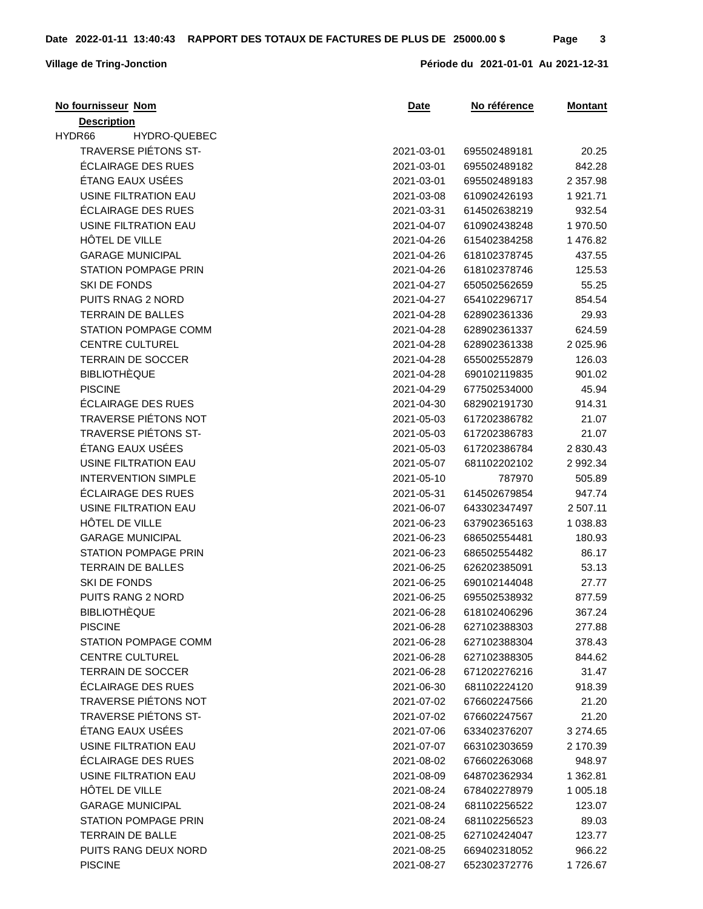| <b>Description</b><br>HYDR66<br>HYDRO-QUEBEC<br>TRAVERSE PIÉTONS ST-<br>2021-03-01<br>695502489181<br>20.25<br>ÉCLAIRAGE DES RUES<br>842.28<br>2021-03-01<br>695502489182<br>ÉTANG EAUX USÉES<br>2021-03-01<br>695502489183<br>2 3 5 7 . 9 8<br>USINE FILTRATION EAU<br>2021-03-08<br>1921.71<br>610902426193<br>ÉCLAIRAGE DES RUES<br>2021-03-31<br>614502638219<br>932.54<br>USINE FILTRATION EAU<br>1970.50<br>2021-04-07<br>610902438248<br>HÔTEL DE VILLE<br>2021-04-26<br>615402384258<br>1 476.82<br><b>GARAGE MUNICIPAL</b><br>2021-04-26<br>618102378745<br>437.55<br><b>STATION POMPAGE PRIN</b><br>2021-04-26<br>618102378746<br>125.53<br>SKI DE FONDS<br>55.25<br>2021-04-27<br>650502562659<br>PUITS RNAG 2 NORD<br>654102296717<br>854.54<br>2021-04-27<br><b>TERRAIN DE BALLES</b><br>2021-04-28<br>628902361336<br>29.93<br>STATION POMPAGE COMM<br>628902361337<br>624.59<br>2021-04-28<br><b>CENTRE CULTUREL</b><br>2021-04-28<br>628902361338<br>2 0 2 5 . 9 6<br><b>TERRAIN DE SOCCER</b><br>2021-04-28<br>655002552879<br>126.03<br><b>BIBLIOTHÈQUE</b><br>690102119835<br>901.02<br>2021-04-28<br><b>PISCINE</b><br>2021-04-29<br>677502534000<br>45.94<br>ÉCLAIRAGE DES RUES<br>914.31<br>2021-04-30<br>682902191730<br><b>TRAVERSE PIÉTONS NOT</b><br>2021-05-03<br>617202386782<br>21.07<br>TRAVERSE PIÉTONS ST-<br>21.07<br>2021-05-03<br>617202386783<br>ÉTANG EAUX USÉES<br>2021-05-03<br>617202386784<br>2 830.43<br><b>USINE FILTRATION EAU</b><br>2021-05-07<br>681102202102<br>2 992.34<br><b>INTERVENTION SIMPLE</b><br>2021-05-10<br>787970<br>505.89<br>ÉCLAIRAGE DES RUES<br>2021-05-31<br>614502679854<br>947.74<br>USINE FILTRATION EAU<br>2 507.11<br>2021-06-07<br>643302347497<br>HÔTEL DE VILLE<br>2021-06-23<br>1 038.83<br>637902365163<br><b>GARAGE MUNICIPAL</b><br>2021-06-23<br>686502554481<br>180.93<br><b>STATION POMPAGE PRIN</b><br>2021-06-23<br>86.17<br>686502554482<br><b>TERRAIN DE BALLES</b><br>53.13<br>2021-06-25<br>626202385091<br><b>SKI DE FONDS</b><br>2021-06-25<br>690102144048<br>27.77<br>PUITS RANG 2 NORD<br>2021-06-25<br>877.59<br>695502538932<br><b>BIBLIOTHÈQUE</b><br>367.24<br>2021-06-28<br>618102406296<br><b>PISCINE</b><br>2021-06-28<br>627102388303<br>277.88<br>STATION POMPAGE COMM<br>2021-06-28<br>627102388304<br>378.43<br><b>CENTRE CULTUREL</b><br>2021-06-28<br>627102388305<br>844.62<br><b>TERRAIN DE SOCCER</b><br>31.47<br>2021-06-28<br>671202276216<br>ÉCLAIRAGE DES RUES<br>918.39<br>2021-06-30<br>681102224120<br>TRAVERSE PIÉTONS NOT<br>21.20<br>2021-07-02<br>676602247566<br>TRAVERSE PIÉTONS ST-<br>21.20<br>2021-07-02<br>676602247567<br>ÉTANG EAUX USÉES<br>3 274.65<br>2021-07-06<br>633402376207<br>USINE FILTRATION EAU<br>2021-07-07<br>663102303659<br>2 170.39<br>ÉCLAIRAGE DES RUES<br>948.97<br>2021-08-02<br>676602263068<br>USINE FILTRATION EAU<br>1 362.81<br>2021-08-09<br>648702362934<br>HÔTEL DE VILLE<br>1 005.18<br>2021-08-24<br>678402278979<br><b>GARAGE MUNICIPAL</b><br>2021-08-24<br>681102256522<br>123.07<br><b>STATION POMPAGE PRIN</b><br>2021-08-24<br>681102256523<br>89.03<br><b>TERRAIN DE BALLE</b><br>2021-08-25<br>627102424047<br>123.77<br>PUITS RANG DEUX NORD<br>2021-08-25<br>669402318052<br>966.22<br><b>PISCINE</b><br>2021-08-27<br>652302372776<br>1726.67 | No fournisseur Nom | <u>Date</u> | No référence | <b>Montant</b> |
|--------------------------------------------------------------------------------------------------------------------------------------------------------------------------------------------------------------------------------------------------------------------------------------------------------------------------------------------------------------------------------------------------------------------------------------------------------------------------------------------------------------------------------------------------------------------------------------------------------------------------------------------------------------------------------------------------------------------------------------------------------------------------------------------------------------------------------------------------------------------------------------------------------------------------------------------------------------------------------------------------------------------------------------------------------------------------------------------------------------------------------------------------------------------------------------------------------------------------------------------------------------------------------------------------------------------------------------------------------------------------------------------------------------------------------------------------------------------------------------------------------------------------------------------------------------------------------------------------------------------------------------------------------------------------------------------------------------------------------------------------------------------------------------------------------------------------------------------------------------------------------------------------------------------------------------------------------------------------------------------------------------------------------------------------------------------------------------------------------------------------------------------------------------------------------------------------------------------------------------------------------------------------------------------------------------------------------------------------------------------------------------------------------------------------------------------------------------------------------------------------------------------------------------------------------------------------------------------------------------------------------------------------------------------------------------------------------------------------------------------------------------------------------------------------------------------------------------------------------------------------------------------------------------------------------------------------------------------------------------------------------------------------------------------------------------------------------------------------------------------------------------------------------------------------------------------------------------------------------------------------------------------------------------------------------------------------|--------------------|-------------|--------------|----------------|
|                                                                                                                                                                                                                                                                                                                                                                                                                                                                                                                                                                                                                                                                                                                                                                                                                                                                                                                                                                                                                                                                                                                                                                                                                                                                                                                                                                                                                                                                                                                                                                                                                                                                                                                                                                                                                                                                                                                                                                                                                                                                                                                                                                                                                                                                                                                                                                                                                                                                                                                                                                                                                                                                                                                                                                                                                                                                                                                                                                                                                                                                                                                                                                                                                                                                                                                          |                    |             |              |                |
|                                                                                                                                                                                                                                                                                                                                                                                                                                                                                                                                                                                                                                                                                                                                                                                                                                                                                                                                                                                                                                                                                                                                                                                                                                                                                                                                                                                                                                                                                                                                                                                                                                                                                                                                                                                                                                                                                                                                                                                                                                                                                                                                                                                                                                                                                                                                                                                                                                                                                                                                                                                                                                                                                                                                                                                                                                                                                                                                                                                                                                                                                                                                                                                                                                                                                                                          |                    |             |              |                |
|                                                                                                                                                                                                                                                                                                                                                                                                                                                                                                                                                                                                                                                                                                                                                                                                                                                                                                                                                                                                                                                                                                                                                                                                                                                                                                                                                                                                                                                                                                                                                                                                                                                                                                                                                                                                                                                                                                                                                                                                                                                                                                                                                                                                                                                                                                                                                                                                                                                                                                                                                                                                                                                                                                                                                                                                                                                                                                                                                                                                                                                                                                                                                                                                                                                                                                                          |                    |             |              |                |
|                                                                                                                                                                                                                                                                                                                                                                                                                                                                                                                                                                                                                                                                                                                                                                                                                                                                                                                                                                                                                                                                                                                                                                                                                                                                                                                                                                                                                                                                                                                                                                                                                                                                                                                                                                                                                                                                                                                                                                                                                                                                                                                                                                                                                                                                                                                                                                                                                                                                                                                                                                                                                                                                                                                                                                                                                                                                                                                                                                                                                                                                                                                                                                                                                                                                                                                          |                    |             |              |                |
|                                                                                                                                                                                                                                                                                                                                                                                                                                                                                                                                                                                                                                                                                                                                                                                                                                                                                                                                                                                                                                                                                                                                                                                                                                                                                                                                                                                                                                                                                                                                                                                                                                                                                                                                                                                                                                                                                                                                                                                                                                                                                                                                                                                                                                                                                                                                                                                                                                                                                                                                                                                                                                                                                                                                                                                                                                                                                                                                                                                                                                                                                                                                                                                                                                                                                                                          |                    |             |              |                |
|                                                                                                                                                                                                                                                                                                                                                                                                                                                                                                                                                                                                                                                                                                                                                                                                                                                                                                                                                                                                                                                                                                                                                                                                                                                                                                                                                                                                                                                                                                                                                                                                                                                                                                                                                                                                                                                                                                                                                                                                                                                                                                                                                                                                                                                                                                                                                                                                                                                                                                                                                                                                                                                                                                                                                                                                                                                                                                                                                                                                                                                                                                                                                                                                                                                                                                                          |                    |             |              |                |
|                                                                                                                                                                                                                                                                                                                                                                                                                                                                                                                                                                                                                                                                                                                                                                                                                                                                                                                                                                                                                                                                                                                                                                                                                                                                                                                                                                                                                                                                                                                                                                                                                                                                                                                                                                                                                                                                                                                                                                                                                                                                                                                                                                                                                                                                                                                                                                                                                                                                                                                                                                                                                                                                                                                                                                                                                                                                                                                                                                                                                                                                                                                                                                                                                                                                                                                          |                    |             |              |                |
|                                                                                                                                                                                                                                                                                                                                                                                                                                                                                                                                                                                                                                                                                                                                                                                                                                                                                                                                                                                                                                                                                                                                                                                                                                                                                                                                                                                                                                                                                                                                                                                                                                                                                                                                                                                                                                                                                                                                                                                                                                                                                                                                                                                                                                                                                                                                                                                                                                                                                                                                                                                                                                                                                                                                                                                                                                                                                                                                                                                                                                                                                                                                                                                                                                                                                                                          |                    |             |              |                |
|                                                                                                                                                                                                                                                                                                                                                                                                                                                                                                                                                                                                                                                                                                                                                                                                                                                                                                                                                                                                                                                                                                                                                                                                                                                                                                                                                                                                                                                                                                                                                                                                                                                                                                                                                                                                                                                                                                                                                                                                                                                                                                                                                                                                                                                                                                                                                                                                                                                                                                                                                                                                                                                                                                                                                                                                                                                                                                                                                                                                                                                                                                                                                                                                                                                                                                                          |                    |             |              |                |
|                                                                                                                                                                                                                                                                                                                                                                                                                                                                                                                                                                                                                                                                                                                                                                                                                                                                                                                                                                                                                                                                                                                                                                                                                                                                                                                                                                                                                                                                                                                                                                                                                                                                                                                                                                                                                                                                                                                                                                                                                                                                                                                                                                                                                                                                                                                                                                                                                                                                                                                                                                                                                                                                                                                                                                                                                                                                                                                                                                                                                                                                                                                                                                                                                                                                                                                          |                    |             |              |                |
|                                                                                                                                                                                                                                                                                                                                                                                                                                                                                                                                                                                                                                                                                                                                                                                                                                                                                                                                                                                                                                                                                                                                                                                                                                                                                                                                                                                                                                                                                                                                                                                                                                                                                                                                                                                                                                                                                                                                                                                                                                                                                                                                                                                                                                                                                                                                                                                                                                                                                                                                                                                                                                                                                                                                                                                                                                                                                                                                                                                                                                                                                                                                                                                                                                                                                                                          |                    |             |              |                |
|                                                                                                                                                                                                                                                                                                                                                                                                                                                                                                                                                                                                                                                                                                                                                                                                                                                                                                                                                                                                                                                                                                                                                                                                                                                                                                                                                                                                                                                                                                                                                                                                                                                                                                                                                                                                                                                                                                                                                                                                                                                                                                                                                                                                                                                                                                                                                                                                                                                                                                                                                                                                                                                                                                                                                                                                                                                                                                                                                                                                                                                                                                                                                                                                                                                                                                                          |                    |             |              |                |
|                                                                                                                                                                                                                                                                                                                                                                                                                                                                                                                                                                                                                                                                                                                                                                                                                                                                                                                                                                                                                                                                                                                                                                                                                                                                                                                                                                                                                                                                                                                                                                                                                                                                                                                                                                                                                                                                                                                                                                                                                                                                                                                                                                                                                                                                                                                                                                                                                                                                                                                                                                                                                                                                                                                                                                                                                                                                                                                                                                                                                                                                                                                                                                                                                                                                                                                          |                    |             |              |                |
|                                                                                                                                                                                                                                                                                                                                                                                                                                                                                                                                                                                                                                                                                                                                                                                                                                                                                                                                                                                                                                                                                                                                                                                                                                                                                                                                                                                                                                                                                                                                                                                                                                                                                                                                                                                                                                                                                                                                                                                                                                                                                                                                                                                                                                                                                                                                                                                                                                                                                                                                                                                                                                                                                                                                                                                                                                                                                                                                                                                                                                                                                                                                                                                                                                                                                                                          |                    |             |              |                |
|                                                                                                                                                                                                                                                                                                                                                                                                                                                                                                                                                                                                                                                                                                                                                                                                                                                                                                                                                                                                                                                                                                                                                                                                                                                                                                                                                                                                                                                                                                                                                                                                                                                                                                                                                                                                                                                                                                                                                                                                                                                                                                                                                                                                                                                                                                                                                                                                                                                                                                                                                                                                                                                                                                                                                                                                                                                                                                                                                                                                                                                                                                                                                                                                                                                                                                                          |                    |             |              |                |
|                                                                                                                                                                                                                                                                                                                                                                                                                                                                                                                                                                                                                                                                                                                                                                                                                                                                                                                                                                                                                                                                                                                                                                                                                                                                                                                                                                                                                                                                                                                                                                                                                                                                                                                                                                                                                                                                                                                                                                                                                                                                                                                                                                                                                                                                                                                                                                                                                                                                                                                                                                                                                                                                                                                                                                                                                                                                                                                                                                                                                                                                                                                                                                                                                                                                                                                          |                    |             |              |                |
|                                                                                                                                                                                                                                                                                                                                                                                                                                                                                                                                                                                                                                                                                                                                                                                                                                                                                                                                                                                                                                                                                                                                                                                                                                                                                                                                                                                                                                                                                                                                                                                                                                                                                                                                                                                                                                                                                                                                                                                                                                                                                                                                                                                                                                                                                                                                                                                                                                                                                                                                                                                                                                                                                                                                                                                                                                                                                                                                                                                                                                                                                                                                                                                                                                                                                                                          |                    |             |              |                |
|                                                                                                                                                                                                                                                                                                                                                                                                                                                                                                                                                                                                                                                                                                                                                                                                                                                                                                                                                                                                                                                                                                                                                                                                                                                                                                                                                                                                                                                                                                                                                                                                                                                                                                                                                                                                                                                                                                                                                                                                                                                                                                                                                                                                                                                                                                                                                                                                                                                                                                                                                                                                                                                                                                                                                                                                                                                                                                                                                                                                                                                                                                                                                                                                                                                                                                                          |                    |             |              |                |
|                                                                                                                                                                                                                                                                                                                                                                                                                                                                                                                                                                                                                                                                                                                                                                                                                                                                                                                                                                                                                                                                                                                                                                                                                                                                                                                                                                                                                                                                                                                                                                                                                                                                                                                                                                                                                                                                                                                                                                                                                                                                                                                                                                                                                                                                                                                                                                                                                                                                                                                                                                                                                                                                                                                                                                                                                                                                                                                                                                                                                                                                                                                                                                                                                                                                                                                          |                    |             |              |                |
|                                                                                                                                                                                                                                                                                                                                                                                                                                                                                                                                                                                                                                                                                                                                                                                                                                                                                                                                                                                                                                                                                                                                                                                                                                                                                                                                                                                                                                                                                                                                                                                                                                                                                                                                                                                                                                                                                                                                                                                                                                                                                                                                                                                                                                                                                                                                                                                                                                                                                                                                                                                                                                                                                                                                                                                                                                                                                                                                                                                                                                                                                                                                                                                                                                                                                                                          |                    |             |              |                |
|                                                                                                                                                                                                                                                                                                                                                                                                                                                                                                                                                                                                                                                                                                                                                                                                                                                                                                                                                                                                                                                                                                                                                                                                                                                                                                                                                                                                                                                                                                                                                                                                                                                                                                                                                                                                                                                                                                                                                                                                                                                                                                                                                                                                                                                                                                                                                                                                                                                                                                                                                                                                                                                                                                                                                                                                                                                                                                                                                                                                                                                                                                                                                                                                                                                                                                                          |                    |             |              |                |
|                                                                                                                                                                                                                                                                                                                                                                                                                                                                                                                                                                                                                                                                                                                                                                                                                                                                                                                                                                                                                                                                                                                                                                                                                                                                                                                                                                                                                                                                                                                                                                                                                                                                                                                                                                                                                                                                                                                                                                                                                                                                                                                                                                                                                                                                                                                                                                                                                                                                                                                                                                                                                                                                                                                                                                                                                                                                                                                                                                                                                                                                                                                                                                                                                                                                                                                          |                    |             |              |                |
|                                                                                                                                                                                                                                                                                                                                                                                                                                                                                                                                                                                                                                                                                                                                                                                                                                                                                                                                                                                                                                                                                                                                                                                                                                                                                                                                                                                                                                                                                                                                                                                                                                                                                                                                                                                                                                                                                                                                                                                                                                                                                                                                                                                                                                                                                                                                                                                                                                                                                                                                                                                                                                                                                                                                                                                                                                                                                                                                                                                                                                                                                                                                                                                                                                                                                                                          |                    |             |              |                |
|                                                                                                                                                                                                                                                                                                                                                                                                                                                                                                                                                                                                                                                                                                                                                                                                                                                                                                                                                                                                                                                                                                                                                                                                                                                                                                                                                                                                                                                                                                                                                                                                                                                                                                                                                                                                                                                                                                                                                                                                                                                                                                                                                                                                                                                                                                                                                                                                                                                                                                                                                                                                                                                                                                                                                                                                                                                                                                                                                                                                                                                                                                                                                                                                                                                                                                                          |                    |             |              |                |
|                                                                                                                                                                                                                                                                                                                                                                                                                                                                                                                                                                                                                                                                                                                                                                                                                                                                                                                                                                                                                                                                                                                                                                                                                                                                                                                                                                                                                                                                                                                                                                                                                                                                                                                                                                                                                                                                                                                                                                                                                                                                                                                                                                                                                                                                                                                                                                                                                                                                                                                                                                                                                                                                                                                                                                                                                                                                                                                                                                                                                                                                                                                                                                                                                                                                                                                          |                    |             |              |                |
|                                                                                                                                                                                                                                                                                                                                                                                                                                                                                                                                                                                                                                                                                                                                                                                                                                                                                                                                                                                                                                                                                                                                                                                                                                                                                                                                                                                                                                                                                                                                                                                                                                                                                                                                                                                                                                                                                                                                                                                                                                                                                                                                                                                                                                                                                                                                                                                                                                                                                                                                                                                                                                                                                                                                                                                                                                                                                                                                                                                                                                                                                                                                                                                                                                                                                                                          |                    |             |              |                |
|                                                                                                                                                                                                                                                                                                                                                                                                                                                                                                                                                                                                                                                                                                                                                                                                                                                                                                                                                                                                                                                                                                                                                                                                                                                                                                                                                                                                                                                                                                                                                                                                                                                                                                                                                                                                                                                                                                                                                                                                                                                                                                                                                                                                                                                                                                                                                                                                                                                                                                                                                                                                                                                                                                                                                                                                                                                                                                                                                                                                                                                                                                                                                                                                                                                                                                                          |                    |             |              |                |
|                                                                                                                                                                                                                                                                                                                                                                                                                                                                                                                                                                                                                                                                                                                                                                                                                                                                                                                                                                                                                                                                                                                                                                                                                                                                                                                                                                                                                                                                                                                                                                                                                                                                                                                                                                                                                                                                                                                                                                                                                                                                                                                                                                                                                                                                                                                                                                                                                                                                                                                                                                                                                                                                                                                                                                                                                                                                                                                                                                                                                                                                                                                                                                                                                                                                                                                          |                    |             |              |                |
|                                                                                                                                                                                                                                                                                                                                                                                                                                                                                                                                                                                                                                                                                                                                                                                                                                                                                                                                                                                                                                                                                                                                                                                                                                                                                                                                                                                                                                                                                                                                                                                                                                                                                                                                                                                                                                                                                                                                                                                                                                                                                                                                                                                                                                                                                                                                                                                                                                                                                                                                                                                                                                                                                                                                                                                                                                                                                                                                                                                                                                                                                                                                                                                                                                                                                                                          |                    |             |              |                |
|                                                                                                                                                                                                                                                                                                                                                                                                                                                                                                                                                                                                                                                                                                                                                                                                                                                                                                                                                                                                                                                                                                                                                                                                                                                                                                                                                                                                                                                                                                                                                                                                                                                                                                                                                                                                                                                                                                                                                                                                                                                                                                                                                                                                                                                                                                                                                                                                                                                                                                                                                                                                                                                                                                                                                                                                                                                                                                                                                                                                                                                                                                                                                                                                                                                                                                                          |                    |             |              |                |
|                                                                                                                                                                                                                                                                                                                                                                                                                                                                                                                                                                                                                                                                                                                                                                                                                                                                                                                                                                                                                                                                                                                                                                                                                                                                                                                                                                                                                                                                                                                                                                                                                                                                                                                                                                                                                                                                                                                                                                                                                                                                                                                                                                                                                                                                                                                                                                                                                                                                                                                                                                                                                                                                                                                                                                                                                                                                                                                                                                                                                                                                                                                                                                                                                                                                                                                          |                    |             |              |                |
|                                                                                                                                                                                                                                                                                                                                                                                                                                                                                                                                                                                                                                                                                                                                                                                                                                                                                                                                                                                                                                                                                                                                                                                                                                                                                                                                                                                                                                                                                                                                                                                                                                                                                                                                                                                                                                                                                                                                                                                                                                                                                                                                                                                                                                                                                                                                                                                                                                                                                                                                                                                                                                                                                                                                                                                                                                                                                                                                                                                                                                                                                                                                                                                                                                                                                                                          |                    |             |              |                |
|                                                                                                                                                                                                                                                                                                                                                                                                                                                                                                                                                                                                                                                                                                                                                                                                                                                                                                                                                                                                                                                                                                                                                                                                                                                                                                                                                                                                                                                                                                                                                                                                                                                                                                                                                                                                                                                                                                                                                                                                                                                                                                                                                                                                                                                                                                                                                                                                                                                                                                                                                                                                                                                                                                                                                                                                                                                                                                                                                                                                                                                                                                                                                                                                                                                                                                                          |                    |             |              |                |
|                                                                                                                                                                                                                                                                                                                                                                                                                                                                                                                                                                                                                                                                                                                                                                                                                                                                                                                                                                                                                                                                                                                                                                                                                                                                                                                                                                                                                                                                                                                                                                                                                                                                                                                                                                                                                                                                                                                                                                                                                                                                                                                                                                                                                                                                                                                                                                                                                                                                                                                                                                                                                                                                                                                                                                                                                                                                                                                                                                                                                                                                                                                                                                                                                                                                                                                          |                    |             |              |                |
|                                                                                                                                                                                                                                                                                                                                                                                                                                                                                                                                                                                                                                                                                                                                                                                                                                                                                                                                                                                                                                                                                                                                                                                                                                                                                                                                                                                                                                                                                                                                                                                                                                                                                                                                                                                                                                                                                                                                                                                                                                                                                                                                                                                                                                                                                                                                                                                                                                                                                                                                                                                                                                                                                                                                                                                                                                                                                                                                                                                                                                                                                                                                                                                                                                                                                                                          |                    |             |              |                |
|                                                                                                                                                                                                                                                                                                                                                                                                                                                                                                                                                                                                                                                                                                                                                                                                                                                                                                                                                                                                                                                                                                                                                                                                                                                                                                                                                                                                                                                                                                                                                                                                                                                                                                                                                                                                                                                                                                                                                                                                                                                                                                                                                                                                                                                                                                                                                                                                                                                                                                                                                                                                                                                                                                                                                                                                                                                                                                                                                                                                                                                                                                                                                                                                                                                                                                                          |                    |             |              |                |
|                                                                                                                                                                                                                                                                                                                                                                                                                                                                                                                                                                                                                                                                                                                                                                                                                                                                                                                                                                                                                                                                                                                                                                                                                                                                                                                                                                                                                                                                                                                                                                                                                                                                                                                                                                                                                                                                                                                                                                                                                                                                                                                                                                                                                                                                                                                                                                                                                                                                                                                                                                                                                                                                                                                                                                                                                                                                                                                                                                                                                                                                                                                                                                                                                                                                                                                          |                    |             |              |                |
|                                                                                                                                                                                                                                                                                                                                                                                                                                                                                                                                                                                                                                                                                                                                                                                                                                                                                                                                                                                                                                                                                                                                                                                                                                                                                                                                                                                                                                                                                                                                                                                                                                                                                                                                                                                                                                                                                                                                                                                                                                                                                                                                                                                                                                                                                                                                                                                                                                                                                                                                                                                                                                                                                                                                                                                                                                                                                                                                                                                                                                                                                                                                                                                                                                                                                                                          |                    |             |              |                |
|                                                                                                                                                                                                                                                                                                                                                                                                                                                                                                                                                                                                                                                                                                                                                                                                                                                                                                                                                                                                                                                                                                                                                                                                                                                                                                                                                                                                                                                                                                                                                                                                                                                                                                                                                                                                                                                                                                                                                                                                                                                                                                                                                                                                                                                                                                                                                                                                                                                                                                                                                                                                                                                                                                                                                                                                                                                                                                                                                                                                                                                                                                                                                                                                                                                                                                                          |                    |             |              |                |
|                                                                                                                                                                                                                                                                                                                                                                                                                                                                                                                                                                                                                                                                                                                                                                                                                                                                                                                                                                                                                                                                                                                                                                                                                                                                                                                                                                                                                                                                                                                                                                                                                                                                                                                                                                                                                                                                                                                                                                                                                                                                                                                                                                                                                                                                                                                                                                                                                                                                                                                                                                                                                                                                                                                                                                                                                                                                                                                                                                                                                                                                                                                                                                                                                                                                                                                          |                    |             |              |                |
|                                                                                                                                                                                                                                                                                                                                                                                                                                                                                                                                                                                                                                                                                                                                                                                                                                                                                                                                                                                                                                                                                                                                                                                                                                                                                                                                                                                                                                                                                                                                                                                                                                                                                                                                                                                                                                                                                                                                                                                                                                                                                                                                                                                                                                                                                                                                                                                                                                                                                                                                                                                                                                                                                                                                                                                                                                                                                                                                                                                                                                                                                                                                                                                                                                                                                                                          |                    |             |              |                |
|                                                                                                                                                                                                                                                                                                                                                                                                                                                                                                                                                                                                                                                                                                                                                                                                                                                                                                                                                                                                                                                                                                                                                                                                                                                                                                                                                                                                                                                                                                                                                                                                                                                                                                                                                                                                                                                                                                                                                                                                                                                                                                                                                                                                                                                                                                                                                                                                                                                                                                                                                                                                                                                                                                                                                                                                                                                                                                                                                                                                                                                                                                                                                                                                                                                                                                                          |                    |             |              |                |
|                                                                                                                                                                                                                                                                                                                                                                                                                                                                                                                                                                                                                                                                                                                                                                                                                                                                                                                                                                                                                                                                                                                                                                                                                                                                                                                                                                                                                                                                                                                                                                                                                                                                                                                                                                                                                                                                                                                                                                                                                                                                                                                                                                                                                                                                                                                                                                                                                                                                                                                                                                                                                                                                                                                                                                                                                                                                                                                                                                                                                                                                                                                                                                                                                                                                                                                          |                    |             |              |                |
|                                                                                                                                                                                                                                                                                                                                                                                                                                                                                                                                                                                                                                                                                                                                                                                                                                                                                                                                                                                                                                                                                                                                                                                                                                                                                                                                                                                                                                                                                                                                                                                                                                                                                                                                                                                                                                                                                                                                                                                                                                                                                                                                                                                                                                                                                                                                                                                                                                                                                                                                                                                                                                                                                                                                                                                                                                                                                                                                                                                                                                                                                                                                                                                                                                                                                                                          |                    |             |              |                |
|                                                                                                                                                                                                                                                                                                                                                                                                                                                                                                                                                                                                                                                                                                                                                                                                                                                                                                                                                                                                                                                                                                                                                                                                                                                                                                                                                                                                                                                                                                                                                                                                                                                                                                                                                                                                                                                                                                                                                                                                                                                                                                                                                                                                                                                                                                                                                                                                                                                                                                                                                                                                                                                                                                                                                                                                                                                                                                                                                                                                                                                                                                                                                                                                                                                                                                                          |                    |             |              |                |
|                                                                                                                                                                                                                                                                                                                                                                                                                                                                                                                                                                                                                                                                                                                                                                                                                                                                                                                                                                                                                                                                                                                                                                                                                                                                                                                                                                                                                                                                                                                                                                                                                                                                                                                                                                                                                                                                                                                                                                                                                                                                                                                                                                                                                                                                                                                                                                                                                                                                                                                                                                                                                                                                                                                                                                                                                                                                                                                                                                                                                                                                                                                                                                                                                                                                                                                          |                    |             |              |                |
|                                                                                                                                                                                                                                                                                                                                                                                                                                                                                                                                                                                                                                                                                                                                                                                                                                                                                                                                                                                                                                                                                                                                                                                                                                                                                                                                                                                                                                                                                                                                                                                                                                                                                                                                                                                                                                                                                                                                                                                                                                                                                                                                                                                                                                                                                                                                                                                                                                                                                                                                                                                                                                                                                                                                                                                                                                                                                                                                                                                                                                                                                                                                                                                                                                                                                                                          |                    |             |              |                |
|                                                                                                                                                                                                                                                                                                                                                                                                                                                                                                                                                                                                                                                                                                                                                                                                                                                                                                                                                                                                                                                                                                                                                                                                                                                                                                                                                                                                                                                                                                                                                                                                                                                                                                                                                                                                                                                                                                                                                                                                                                                                                                                                                                                                                                                                                                                                                                                                                                                                                                                                                                                                                                                                                                                                                                                                                                                                                                                                                                                                                                                                                                                                                                                                                                                                                                                          |                    |             |              |                |
|                                                                                                                                                                                                                                                                                                                                                                                                                                                                                                                                                                                                                                                                                                                                                                                                                                                                                                                                                                                                                                                                                                                                                                                                                                                                                                                                                                                                                                                                                                                                                                                                                                                                                                                                                                                                                                                                                                                                                                                                                                                                                                                                                                                                                                                                                                                                                                                                                                                                                                                                                                                                                                                                                                                                                                                                                                                                                                                                                                                                                                                                                                                                                                                                                                                                                                                          |                    |             |              |                |
|                                                                                                                                                                                                                                                                                                                                                                                                                                                                                                                                                                                                                                                                                                                                                                                                                                                                                                                                                                                                                                                                                                                                                                                                                                                                                                                                                                                                                                                                                                                                                                                                                                                                                                                                                                                                                                                                                                                                                                                                                                                                                                                                                                                                                                                                                                                                                                                                                                                                                                                                                                                                                                                                                                                                                                                                                                                                                                                                                                                                                                                                                                                                                                                                                                                                                                                          |                    |             |              |                |
|                                                                                                                                                                                                                                                                                                                                                                                                                                                                                                                                                                                                                                                                                                                                                                                                                                                                                                                                                                                                                                                                                                                                                                                                                                                                                                                                                                                                                                                                                                                                                                                                                                                                                                                                                                                                                                                                                                                                                                                                                                                                                                                                                                                                                                                                                                                                                                                                                                                                                                                                                                                                                                                                                                                                                                                                                                                                                                                                                                                                                                                                                                                                                                                                                                                                                                                          |                    |             |              |                |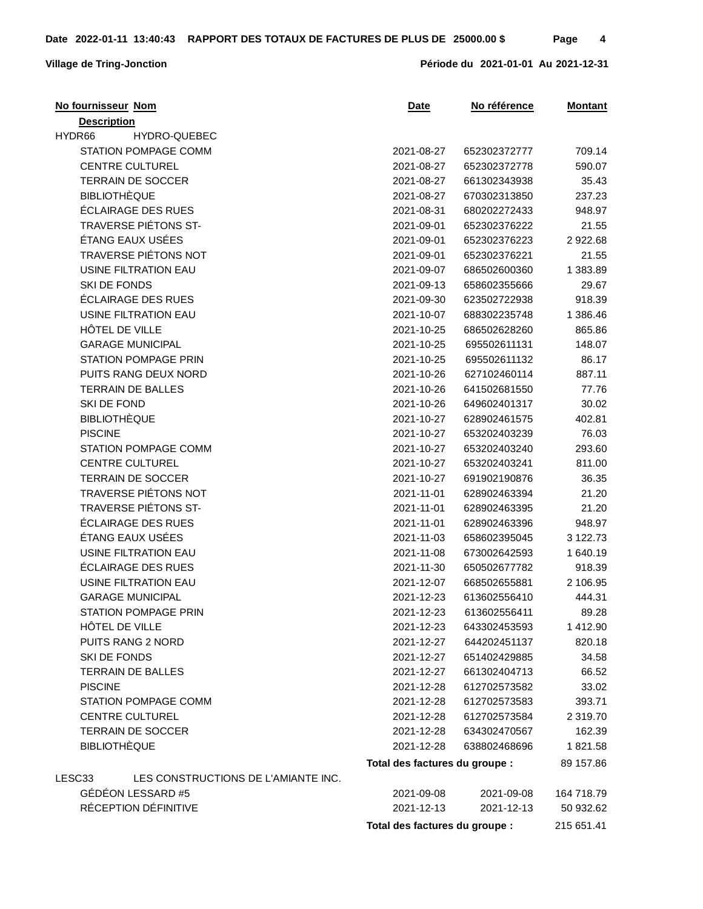| No fournisseur Nom                            | Date                           | No référence | <b>Montant</b> |
|-----------------------------------------------|--------------------------------|--------------|----------------|
| <b>Description</b>                            |                                |              |                |
| HYDR66<br>HYDRO-QUEBEC                        |                                |              |                |
| STATION POMPAGE COMM                          | 2021-08-27                     | 652302372777 | 709.14         |
| <b>CENTRE CULTUREL</b>                        | 2021-08-27                     | 652302372778 | 590.07         |
| <b>TERRAIN DE SOCCER</b>                      | 2021-08-27                     | 661302343938 | 35.43          |
| <b>BIBLIOTHÈQUE</b>                           | 2021-08-27                     | 670302313850 | 237.23         |
| ÉCLAIRAGE DES RUES                            | 2021-08-31                     | 680202272433 | 948.97         |
| TRAVERSE PIÉTONS ST-                          | 2021-09-01                     | 652302376222 | 21.55          |
| ÉTANG EAUX USÉES                              | 2021-09-01                     | 652302376223 | 2922.68        |
| TRAVERSE PIÉTONS NOT                          | 2021-09-01                     | 652302376221 | 21.55          |
| USINE FILTRATION EAU                          | 2021-09-07                     | 686502600360 | 1 383.89       |
| SKI DE FONDS                                  | 2021-09-13                     | 658602355666 | 29.67          |
| ÉCLAIRAGE DES RUES                            | 2021-09-30                     | 623502722938 | 918.39         |
| <b>USINE FILTRATION EAU</b>                   | 2021-10-07                     | 688302235748 | 1 386.46       |
| HÔTEL DE VILLE                                | 2021-10-25                     | 686502628260 | 865.86         |
| <b>GARAGE MUNICIPAL</b>                       | 2021-10-25                     | 695502611131 | 148.07         |
| STATION POMPAGE PRIN                          | 2021-10-25                     | 695502611132 | 86.17          |
| PUITS RANG DEUX NORD                          | 2021-10-26                     | 627102460114 | 887.11         |
| <b>TERRAIN DE BALLES</b>                      | 2021-10-26                     | 641502681550 | 77.76          |
| SKI DE FOND                                   | 2021-10-26                     | 649602401317 | 30.02          |
| <b>BIBLIOTHÈQUE</b>                           | 2021-10-27                     | 628902461575 | 402.81         |
| <b>PISCINE</b>                                | 2021-10-27                     | 653202403239 | 76.03          |
| STATION POMPAGE COMM                          | 2021-10-27                     | 653202403240 | 293.60         |
| <b>CENTRE CULTUREL</b>                        | 2021-10-27                     | 653202403241 | 811.00         |
| <b>TERRAIN DE SOCCER</b>                      | 2021-10-27                     | 691902190876 | 36.35          |
| <b>TRAVERSE PIÉTONS NOT</b>                   | 2021-11-01                     | 628902463394 | 21.20          |
| <b>TRAVERSE PIÉTONS ST-</b>                   | 2021-11-01                     | 628902463395 | 21.20          |
| ÉCLAIRAGE DES RUES                            | 2021-11-01                     | 628902463396 | 948.97         |
| ÉTANG EAUX USÉES                              | 2021-11-03                     | 658602395045 | 3 122.73       |
| USINE FILTRATION EAU                          | 2021-11-08                     | 673002642593 | 1 640.19       |
| ÉCLAIRAGE DES RUES                            | 2021-11-30                     | 650502677782 | 918.39         |
| USINE FILTRATION EAU                          | 2021-12-07                     | 668502655881 | 2 106.95       |
| <b>GARAGE MUNICIPAL</b>                       | 2021-12-23                     | 613602556410 | 444.31         |
| STATION POMPAGE PRIN                          | 2021-12-23                     | 613602556411 | 89.28          |
| HÔTEL DE VILLE                                | 2021-12-23                     | 643302453593 | 1412.90        |
| <b>PUITS RANG 2 NORD</b>                      | 2021-12-27                     | 644202451137 | 820.18         |
| SKI DE FONDS                                  | 2021-12-27                     | 651402429885 | 34.58          |
| <b>TERRAIN DE BALLES</b>                      | 2021-12-27                     | 661302404713 | 66.52          |
| <b>PISCINE</b>                                | 2021-12-28                     | 612702573582 | 33.02          |
| <b>STATION POMPAGE COMM</b>                   | 2021-12-28                     | 612702573583 | 393.71         |
| <b>CENTRE CULTUREL</b>                        | 2021-12-28                     | 612702573584 | 2 319.70       |
| <b>TERRAIN DE SOCCER</b>                      | 2021-12-28                     | 634302470567 | 162.39         |
| <b>BIBLIOTHÈQUE</b>                           | 2021-12-28                     | 638802468696 | 1821.58        |
|                                               | Total des factures du groupe : |              | 89 157.86      |
| LESC33<br>LES CONSTRUCTIONS DE L'AMIANTE INC. |                                |              |                |
| GÉDÉON LESSARD #5                             | 2021-09-08                     | 2021-09-08   | 164 718.79     |
| RÉCEPTION DÉFINITIVE                          | 2021-12-13                     | 2021-12-13   | 50 932.62      |
|                                               | Total des factures du groupe : |              | 215 651.41     |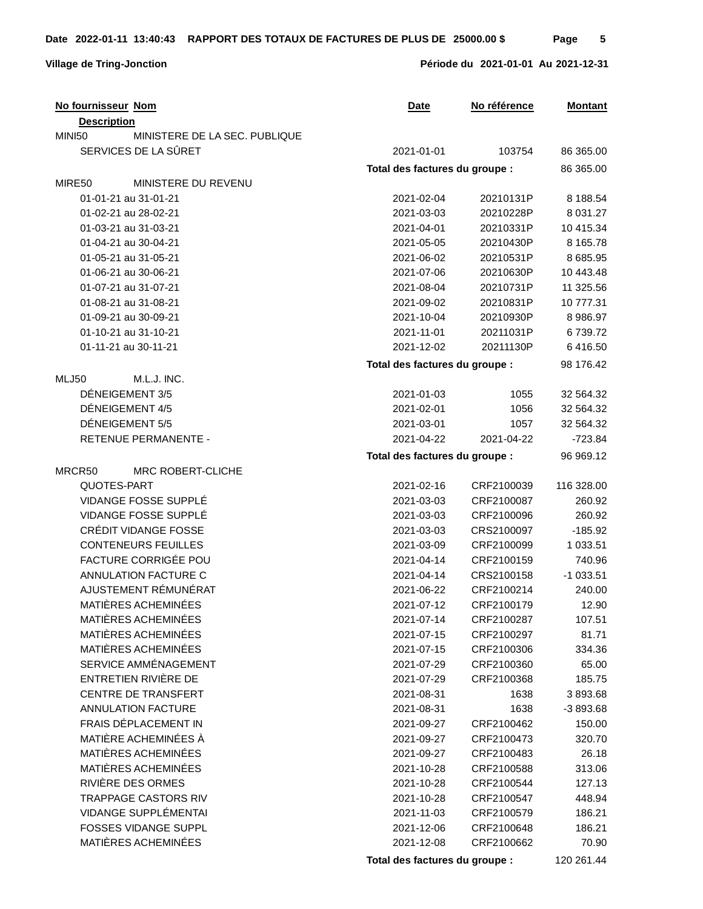## **Village de Tring-Jonction Période du 2021-01-01 Au 2021-12-31**

| No fournisseur Nom                      | <b>Date</b>                    | No référence | <b>Montant</b> |
|-----------------------------------------|--------------------------------|--------------|----------------|
| <b>Description</b>                      |                                |              |                |
| MINISTERE DE LA SEC. PUBLIQUE<br>MINI50 |                                |              |                |
| SERVICES DE LA SÛRET                    | 2021-01-01                     | 103754       | 86 365.00      |
|                                         | Total des factures du groupe : |              | 86 365.00      |
| MIRE50<br>MINISTERE DU REVENU           |                                |              |                |
| 01-01-21 au 31-01-21                    | 2021-02-04                     | 20210131P    | 8 188.54       |
| 01-02-21 au 28-02-21                    | 2021-03-03                     | 20210228P    | 8 0 3 1 . 2 7  |
| 01-03-21 au 31-03-21                    | 2021-04-01                     | 20210331P    | 10 415.34      |
| 01-04-21 au 30-04-21                    | 2021-05-05                     | 20210430P    | 8 1 6 5 . 7 8  |
| 01-05-21 au 31-05-21                    | 2021-06-02                     | 20210531P    | 8 685.95       |
| 01-06-21 au 30-06-21                    | 2021-07-06                     | 20210630P    | 10 443.48      |
| 01-07-21 au 31-07-21                    | 2021-08-04                     | 20210731P    | 11 325.56      |
| 01-08-21 au 31-08-21                    | 2021-09-02                     | 20210831P    | 10 777.31      |
| 01-09-21 au 30-09-21                    | 2021-10-04                     | 20210930P    | 8 986.97       |
| 01-10-21 au 31-10-21                    | 2021-11-01                     | 20211031P    | 6739.72        |
| 01-11-21 au 30-11-21                    | 2021-12-02                     | 20211130P    | 6416.50        |
|                                         | Total des factures du groupe : |              | 98 176.42      |
| M.L.J. INC.<br>MLJ50                    |                                |              |                |
| DÉNEIGEMENT 3/5                         | 2021-01-03                     | 1055         | 32 564.32      |
| DÉNEIGEMENT 4/5                         | 2021-02-01                     | 1056         | 32 564.32      |
| DÉNEIGEMENT 5/5                         | 2021-03-01                     | 1057         | 32 564.32      |
| <b>RETENUE PERMANENTE -</b>             | 2021-04-22                     | 2021-04-22   | $-723.84$      |
|                                         | Total des factures du groupe : |              | 96 969.12      |
| MRCR50<br>MRC ROBERT-CLICHE             |                                |              |                |
| QUOTES-PART                             | 2021-02-16                     | CRF2100039   | 116 328.00     |
| VIDANGE FOSSE SUPPLÉ                    | 2021-03-03                     | CRF2100087   | 260.92         |
| VIDANGE FOSSE SUPPLÉ                    | 2021-03-03                     | CRF2100096   | 260.92         |
| CRÉDIT VIDANGE FOSSE                    | 2021-03-03                     | CRS2100097   | $-185.92$      |
| <b>CONTENEURS FEUILLES</b>              | 2021-03-09                     | CRF2100099   | 1 033.51       |
| FACTURE CORRIGÉE POU                    | 2021-04-14                     | CRF2100159   | 740.96         |
| ANNULATION FACTURE C                    | 2021-04-14                     | CRS2100158   | $-1033.51$     |
| AJUSTEMENT RÉMUNÉRAT                    | 2021-06-22                     | CRF2100214   | 240.00         |
| MATIÈRES ACHEMINÉES                     | 2021-07-12                     | CRF2100179   | 12.90          |
| MATIÈRES ACHEMINÉES                     | 2021-07-14                     | CRF2100287   | 107.51         |
| MATIÈRES ACHEMINÉES                     | 2021-07-15                     | CRF2100297   | 81.71          |
| MATIÈRES ACHEMINÉES                     | 2021-07-15                     | CRF2100306   | 334.36         |
| SERVICE AMMÉNAGEMENT                    | 2021-07-29                     | CRF2100360   | 65.00          |
| ENTRETIEN RIVIÈRE DE                    | 2021-07-29                     | CRF2100368   | 185.75         |
| CENTRE DE TRANSFERT                     | 2021-08-31                     | 1638         | 3893.68        |
| <b>ANNULATION FACTURE</b>               | 2021-08-31                     | 1638         | -3 893.68      |
| FRAIS DÉPLACEMENT IN                    | 2021-09-27                     | CRF2100462   | 150.00         |
| MATIÈRE ACHEMINÉES À                    | 2021-09-27                     | CRF2100473   | 320.70         |
| MATIÈRES ACHEMINÉES                     | 2021-09-27                     | CRF2100483   | 26.18          |
| MATIÈRES ACHEMINÉES                     | 2021-10-28                     | CRF2100588   | 313.06         |
| RIVIÈRE DES ORMES                       | 2021-10-28                     | CRF2100544   | 127.13         |
| <b>TRAPPAGE CASTORS RIV</b>             | 2021-10-28                     | CRF2100547   | 448.94         |
| VIDANGE SUPPLÉMENTAI                    | 2021-11-03                     | CRF2100579   | 186.21         |
| <b>FOSSES VIDANGE SUPPL</b>             | 2021-12-06                     | CRF2100648   | 186.21         |
| MATIÈRES ACHEMINÉES                     | 2021-12-08                     | CRF2100662   | 70.90          |
|                                         | Total des factures du groupe : |              | 120 261.44     |
|                                         |                                |              |                |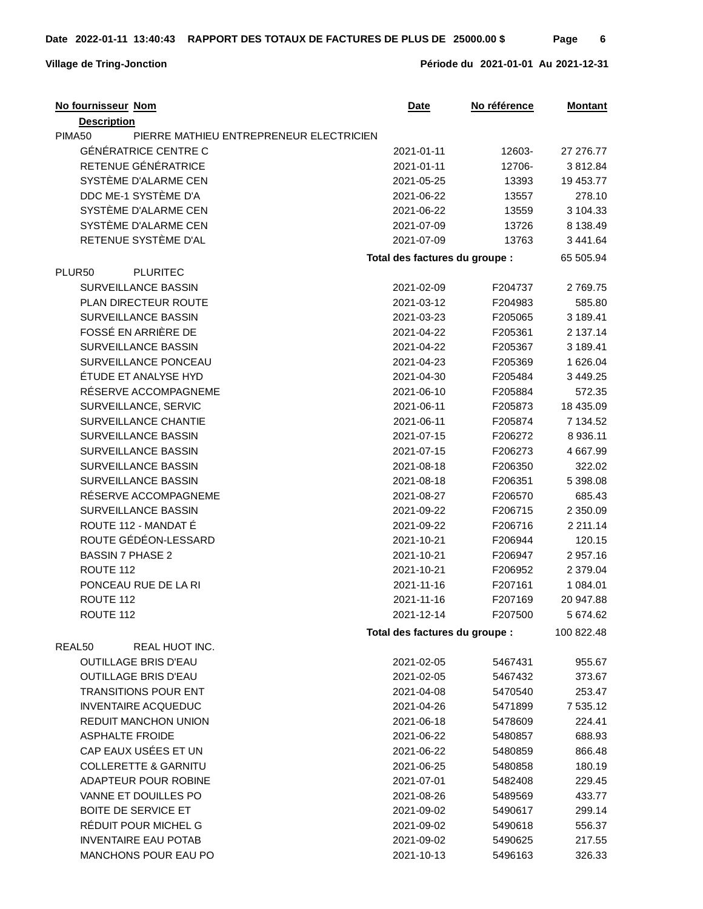| No fournisseur Nom                                | Date                           | No référence | <b>Montant</b> |
|---------------------------------------------------|--------------------------------|--------------|----------------|
| <b>Description</b>                                |                                |              |                |
| PIMA50<br>PIERRE MATHIEU ENTREPRENEUR ELECTRICIEN |                                |              |                |
| <b>GÉNÉRATRICE CENTRE C</b>                       | 2021-01-11                     | 12603-       | 27 27 6.77     |
| RETENUE GÉNÉRATRICE                               | 2021-01-11                     | 12706-       | 3812.84        |
| SYSTÈME D'ALARME CEN                              | 2021-05-25                     | 13393        | 19 453.77      |
| DDC ME-1 SYSTÈME D'A                              | 2021-06-22                     | 13557        | 278.10         |
| SYSTÈME D'ALARME CEN                              | 2021-06-22                     | 13559        | 3 104.33       |
| SYSTÈME D'ALARME CEN                              | 2021-07-09                     | 13726        | 8 138.49       |
| RETENUE SYSTÈME D'AL                              | 2021-07-09                     | 13763        | 3 441.64       |
|                                                   | Total des factures du groupe : |              | 65 505.94      |
| <b>PLURITEC</b><br>PLUR <sub>50</sub>             |                                |              |                |
| SURVEILLANCE BASSIN                               | 2021-02-09                     | F204737      | 2769.75        |
| <b>PLAN DIRECTEUR ROUTE</b>                       | 2021-03-12                     | F204983      | 585.80         |
| SURVEILLANCE BASSIN                               | 2021-03-23                     | F205065      | 3 189.41       |
| FOSSÉ EN ARRIÈRE DE                               | 2021-04-22                     | F205361      | 2 137.14       |
| SURVEILLANCE BASSIN                               | 2021-04-22                     | F205367      | 3 189.41       |
| SURVEILLANCE PONCEAU                              | 2021-04-23                     | F205369      | 1 626.04       |
| ÉTUDE ET ANALYSE HYD                              | 2021-04-30                     | F205484      | 3 4 4 9 . 2 5  |
| RÉSERVE ACCOMPAGNEME                              | 2021-06-10                     | F205884      | 572.35         |
| SURVEILLANCE, SERVIC                              | 2021-06-11                     | F205873      | 18 435.09      |
| SURVEILLANCE CHANTIE                              | 2021-06-11                     | F205874      | 7 134.52       |
| SURVEILLANCE BASSIN                               | 2021-07-15                     | F206272      | 8 9 36.11      |
| SURVEILLANCE BASSIN                               | 2021-07-15                     | F206273      | 4 667.99       |
| <b>SURVEILLANCE BASSIN</b>                        | 2021-08-18                     | F206350      | 322.02         |
| <b>SURVEILLANCE BASSIN</b>                        | 2021-08-18                     | F206351      | 5 398.08       |
| RÉSERVE ACCOMPAGNEME                              | 2021-08-27                     | F206570      | 685.43         |
| SURVEILLANCE BASSIN                               | 2021-09-22                     | F206715      | 2 350.09       |
| ROUTE 112 - MANDAT É                              | 2021-09-22                     | F206716      | 2 2 1 1.14     |
| ROUTE GÉDÉON-LESSARD                              | 2021-10-21                     | F206944      | 120.15         |
| <b>BASSIN 7 PHASE 2</b>                           | 2021-10-21                     | F206947      | 2 957.16       |
| ROUTE 112                                         | 2021-10-21                     | F206952      | 2 379.04       |
| PONCEAU RUE DE LA RI                              | 2021-11-16                     | F207161      | 1 084.01       |
| ROUTE 112                                         | 2021-11-16                     | F207169      | 20 947.88      |
| ROUTF 112                                         | 2021-12-14                     | F207500      | 5 674.62       |
|                                                   | Total des factures du groupe : |              | 100 822.48     |
| REAL50<br>REAL HUOT INC.                          |                                |              |                |
| <b>OUTILLAGE BRIS D'EAU</b>                       | 2021-02-05                     | 5467431      | 955.67         |
| <b>OUTILLAGE BRIS D'EAU</b>                       | 2021-02-05                     | 5467432      | 373.67         |
| <b>TRANSITIONS POUR ENT</b>                       | 2021-04-08                     | 5470540      | 253.47         |
| <b>INVENTAIRE ACQUEDUC</b>                        | 2021-04-26                     | 5471899      | 7 535.12       |
| <b>REDUIT MANCHON UNION</b>                       | 2021-06-18                     | 5478609      | 224.41         |
| <b>ASPHALTE FROIDE</b>                            | 2021-06-22                     | 5480857      | 688.93         |
| CAP EAUX USÉES ET UN                              | 2021-06-22                     | 5480859      | 866.48         |
| <b>COLLERETTE &amp; GARNITU</b>                   | 2021-06-25                     | 5480858      | 180.19         |
| ADAPTEUR POUR ROBINE                              | 2021-07-01                     | 5482408      | 229.45         |
| VANNE ET DOUILLES PO                              | 2021-08-26                     | 5489569      | 433.77         |
| <b>BOITE DE SERVICE ET</b>                        | 2021-09-02                     | 5490617      | 299.14         |
| RÉDUIT POUR MICHEL G                              | 2021-09-02                     | 5490618      | 556.37         |
| <b>INVENTAIRE EAU POTAB</b>                       | 2021-09-02                     | 5490625      | 217.55         |
| MANCHONS POUR EAU PO                              | 2021-10-13                     | 5496163      | 326.33         |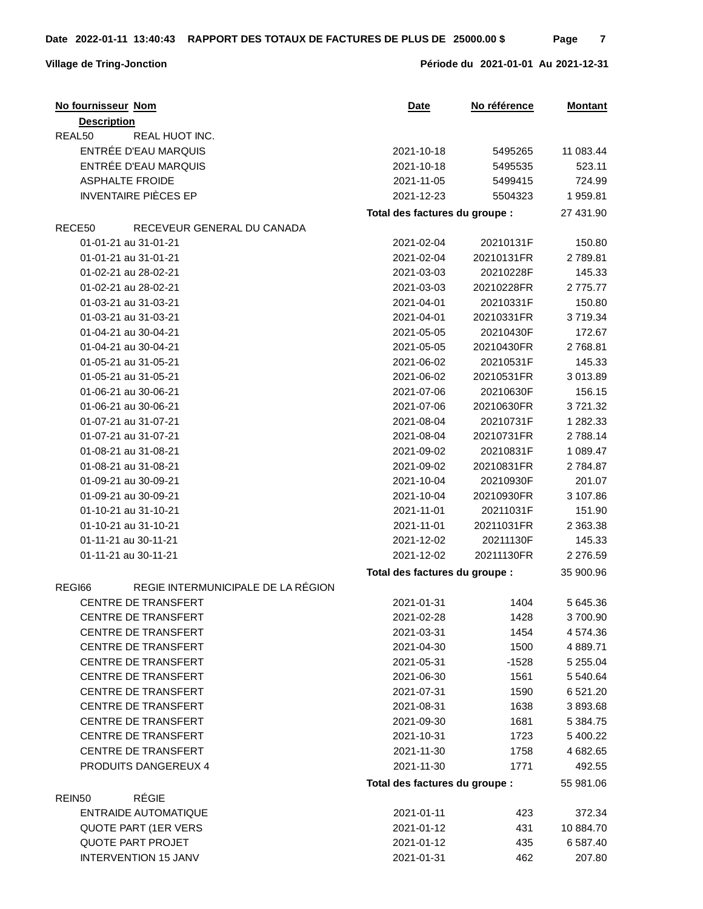| No fournisseur Nom                           | <b>Date</b>                    | No référence | <b>Montant</b> |
|----------------------------------------------|--------------------------------|--------------|----------------|
| <b>Description</b>                           |                                |              |                |
| REAL50<br>REAL HUOT INC.                     |                                |              |                |
| ENTRÉE D'EAU MARQUIS                         | 2021-10-18                     | 5495265      | 11 083.44      |
| ENTRÉE D'EAU MARQUIS                         | 2021-10-18                     | 5495535      | 523.11         |
| <b>ASPHALTE FROIDE</b>                       | 2021-11-05                     | 5499415      | 724.99         |
| <b>INVENTAIRE PIÈCES EP</b>                  | 2021-12-23                     | 5504323      | 1959.81        |
|                                              | Total des factures du groupe : |              | 27 431.90      |
| RECE50<br>RECEVEUR GENERAL DU CANADA         |                                |              |                |
| 01-01-21 au 31-01-21                         | 2021-02-04                     | 20210131F    | 150.80         |
| 01-01-21 au 31-01-21                         | 2021-02-04                     | 20210131FR   | 2789.81        |
| 01-02-21 au 28-02-21                         | 2021-03-03                     | 20210228F    | 145.33         |
| 01-02-21 au 28-02-21                         | 2021-03-03                     | 20210228FR   | 2775.77        |
| 01-03-21 au 31-03-21                         | 2021-04-01                     | 20210331F    | 150.80         |
| 01-03-21 au 31-03-21                         | 2021-04-01                     | 20210331FR   | 3719.34        |
| 01-04-21 au 30-04-21                         | 2021-05-05                     | 20210430F    | 172.67         |
| 01-04-21 au 30-04-21                         | 2021-05-05                     | 20210430FR   | 2768.81        |
| 01-05-21 au 31-05-21                         | 2021-06-02                     | 20210531F    | 145.33         |
| 01-05-21 au 31-05-21                         | 2021-06-02                     | 20210531FR   | 3 013.89       |
| 01-06-21 au 30-06-21                         | 2021-07-06                     | 20210630F    | 156.15         |
| 01-06-21 au 30-06-21                         | 2021-07-06                     | 20210630FR   | 3721.32        |
| 01-07-21 au 31-07-21                         | 2021-08-04                     | 20210731F    | 1 282.33       |
| 01-07-21 au 31-07-21                         | 2021-08-04                     | 20210731FR   | 2788.14        |
| 01-08-21 au 31-08-21                         | 2021-09-02                     | 20210831F    | 1 089.47       |
| 01-08-21 au 31-08-21                         | 2021-09-02                     | 20210831FR   | 2784.87        |
| 01-09-21 au 30-09-21                         | 2021-10-04                     | 20210930F    | 201.07         |
| 01-09-21 au 30-09-21                         | 2021-10-04                     | 20210930FR   | 3 107.86       |
| 01-10-21 au 31-10-21                         | 2021-11-01                     | 20211031F    | 151.90         |
| 01-10-21 au 31-10-21                         | 2021-11-01                     | 20211031FR   | 2 363.38       |
| 01-11-21 au 30-11-21                         | 2021-12-02                     | 20211130F    | 145.33         |
| 01-11-21 au 30-11-21                         | 2021-12-02                     | 20211130FR   | 2 276.59       |
|                                              | Total des factures du groupe : |              | 35 900.96      |
| REGIE INTERMUNICIPALE DE LA RÉGION<br>REGI66 |                                |              |                |
| <b>CENTRE DE TRANSFERT</b>                   | 2021-01-31                     | 1404         | 5 645.36       |
| <b>CENTRE DE TRANSFERT</b>                   | 2021-02-28                     | 1428         | 3 700.90       |
| <b>CENTRE DE TRANSFERT</b>                   | 2021-03-31                     | 1454         | 4 574.36       |
| <b>CENTRE DE TRANSFERT</b>                   | 2021-04-30                     | 1500         | 4 889.71       |
| CENTRE DE TRANSFERT                          | 2021-05-31                     | $-1528$      | 5 255.04       |
| CENTRE DE TRANSFERT                          | 2021-06-30                     | 1561         | 5 540.64       |
| <b>CENTRE DE TRANSFERT</b>                   | 2021-07-31                     | 1590         | 6 5 2 1 . 2 0  |
| <b>CENTRE DE TRANSFERT</b>                   | 2021-08-31                     | 1638         | 3893.68        |
| CENTRE DE TRANSFERT                          | 2021-09-30                     | 1681         | 5 384.75       |
| <b>CENTRE DE TRANSFERT</b>                   | 2021-10-31                     | 1723         | 5 400.22       |
| <b>CENTRE DE TRANSFERT</b>                   | 2021-11-30                     | 1758         | 4 682.65       |
| PRODUITS DANGEREUX 4                         | 2021-11-30                     | 1771         | 492.55         |
|                                              |                                |              |                |
| <b>RÉGIE</b>                                 | Total des factures du groupe : |              | 55 981.06      |
| REIN <sub>50</sub>                           |                                |              |                |
| ENTRAIDE AUTOMATIQUE                         | 2021-01-11                     | 423          | 372.34         |
| <b>QUOTE PART (1ER VERS)</b>                 | 2021-01-12                     | 431          | 10 884.70      |
| <b>QUOTE PART PROJET</b>                     | 2021-01-12                     | 435          | 6 587.40       |
| <b>INTERVENTION 15 JANV</b>                  | 2021-01-31                     | 462          | 207.80         |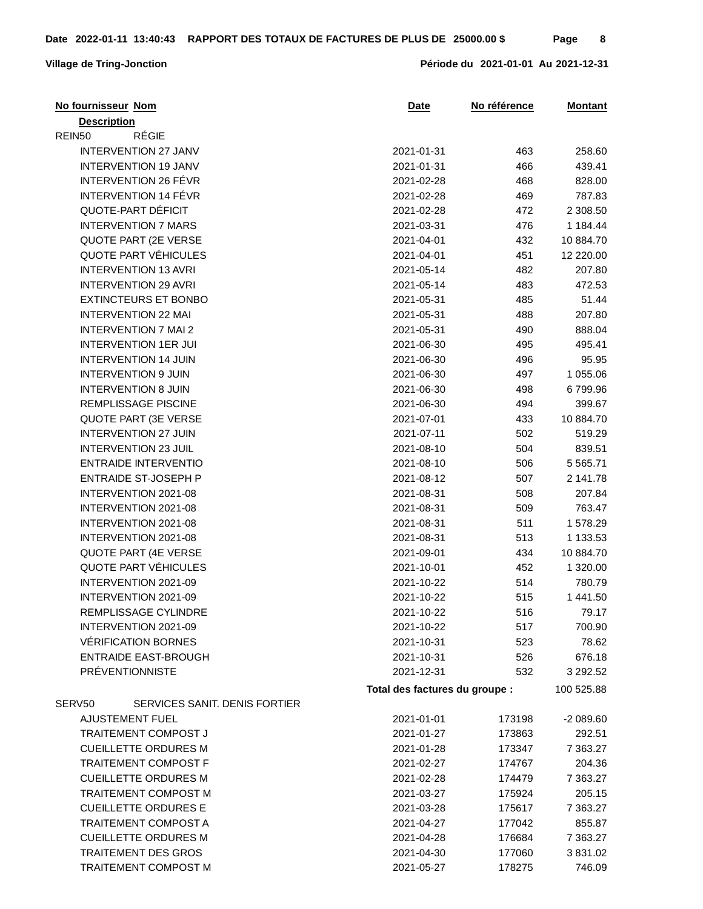| <b>Description</b><br><b>RÉGIE</b><br>REIN50<br><b>INTERVENTION 27 JANV</b><br>463<br>258.60<br>2021-01-31<br><b>INTERVENTION 19 JANV</b><br>2021-01-31<br>466<br>439.41<br>INTERVENTION 26 FÉVR<br>2021-02-28<br>468<br>828.00<br>INTERVENTION 14 FÉVR<br>469<br>787.83<br>2021-02-28<br>QUOTE-PART DÉFICIT<br>2021-02-28<br>472<br>2 308.50<br><b>INTERVENTION 7 MARS</b><br>2021-03-31<br>476<br>1 184.44<br>QUOTE PART (2E VERSE<br>2021-04-01<br>432<br>10 884.70<br>QUOTE PART VÉHICULES<br>2021-04-01<br>451<br>12 220.00<br><b>INTERVENTION 13 AVRI</b><br>482<br>207.80<br>2021-05-14<br><b>INTERVENTION 29 AVRI</b><br>2021-05-14<br>483<br>472.53<br><b>EXTINCTEURS ET BONBO</b><br>485<br>51.44<br>2021-05-31<br><b>INTERVENTION 22 MAI</b><br>207.80<br>488<br>2021-05-31<br><b>INTERVENTION 7 MAI 2</b><br>2021-05-31<br>490<br>888.04<br><b>INTERVENTION 1ER JUI</b><br>2021-06-30<br>495<br>495.41<br>95.95<br><b>INTERVENTION 14 JUIN</b><br>2021-06-30<br>496<br><b>INTERVENTION 9 JUIN</b><br>2021-06-30<br>497<br>1 055.06<br><b>INTERVENTION 8 JUIN</b><br>2021-06-30<br>498<br>6799.96<br>REMPLISSAGE PISCINE<br>494<br>399.67<br>2021-06-30<br>QUOTE PART (3E VERSE<br>2021-07-01<br>433<br>10 884.70<br><b>INTERVENTION 27 JUIN</b><br>2021-07-11<br>502<br>519.29<br><b>INTERVENTION 23 JUIL</b><br>2021-08-10<br>504<br>839.51<br>ENTRAIDE INTERVENTIO<br>506<br>5 5 6 5.71<br>2021-08-10<br>ENTRAIDE ST-JOSEPH P<br>2021-08-12<br>507<br>2 141.78<br>INTERVENTION 2021-08<br>2021-08-31<br>508<br>207.84<br>763.47<br>INTERVENTION 2021-08<br>509<br>2021-08-31<br>INTERVENTION 2021-08<br>2021-08-31<br>511<br>1578.29<br>INTERVENTION 2021-08<br>2021-08-31<br>513<br>1 133.53<br>QUOTE PART (4E VERSE<br>434<br>10 884.70<br>2021-09-01<br>QUOTE PART VÉHICULES<br>452<br>1 320.00<br>2021-10-01<br>INTERVENTION 2021-09<br>2021-10-22<br>514<br>780.79<br>INTERVENTION 2021-09<br>2021-10-22<br>515<br>1 441.50 |
|------------------------------------------------------------------------------------------------------------------------------------------------------------------------------------------------------------------------------------------------------------------------------------------------------------------------------------------------------------------------------------------------------------------------------------------------------------------------------------------------------------------------------------------------------------------------------------------------------------------------------------------------------------------------------------------------------------------------------------------------------------------------------------------------------------------------------------------------------------------------------------------------------------------------------------------------------------------------------------------------------------------------------------------------------------------------------------------------------------------------------------------------------------------------------------------------------------------------------------------------------------------------------------------------------------------------------------------------------------------------------------------------------------------------------------------------------------------------------------------------------------------------------------------------------------------------------------------------------------------------------------------------------------------------------------------------------------------------------------------------------------------------------------------------------------------------------------------------------------------------------------------------------------------------------------------------|
|                                                                                                                                                                                                                                                                                                                                                                                                                                                                                                                                                                                                                                                                                                                                                                                                                                                                                                                                                                                                                                                                                                                                                                                                                                                                                                                                                                                                                                                                                                                                                                                                                                                                                                                                                                                                                                                                                                                                                |
|                                                                                                                                                                                                                                                                                                                                                                                                                                                                                                                                                                                                                                                                                                                                                                                                                                                                                                                                                                                                                                                                                                                                                                                                                                                                                                                                                                                                                                                                                                                                                                                                                                                                                                                                                                                                                                                                                                                                                |
|                                                                                                                                                                                                                                                                                                                                                                                                                                                                                                                                                                                                                                                                                                                                                                                                                                                                                                                                                                                                                                                                                                                                                                                                                                                                                                                                                                                                                                                                                                                                                                                                                                                                                                                                                                                                                                                                                                                                                |
|                                                                                                                                                                                                                                                                                                                                                                                                                                                                                                                                                                                                                                                                                                                                                                                                                                                                                                                                                                                                                                                                                                                                                                                                                                                                                                                                                                                                                                                                                                                                                                                                                                                                                                                                                                                                                                                                                                                                                |
|                                                                                                                                                                                                                                                                                                                                                                                                                                                                                                                                                                                                                                                                                                                                                                                                                                                                                                                                                                                                                                                                                                                                                                                                                                                                                                                                                                                                                                                                                                                                                                                                                                                                                                                                                                                                                                                                                                                                                |
|                                                                                                                                                                                                                                                                                                                                                                                                                                                                                                                                                                                                                                                                                                                                                                                                                                                                                                                                                                                                                                                                                                                                                                                                                                                                                                                                                                                                                                                                                                                                                                                                                                                                                                                                                                                                                                                                                                                                                |
|                                                                                                                                                                                                                                                                                                                                                                                                                                                                                                                                                                                                                                                                                                                                                                                                                                                                                                                                                                                                                                                                                                                                                                                                                                                                                                                                                                                                                                                                                                                                                                                                                                                                                                                                                                                                                                                                                                                                                |
|                                                                                                                                                                                                                                                                                                                                                                                                                                                                                                                                                                                                                                                                                                                                                                                                                                                                                                                                                                                                                                                                                                                                                                                                                                                                                                                                                                                                                                                                                                                                                                                                                                                                                                                                                                                                                                                                                                                                                |
|                                                                                                                                                                                                                                                                                                                                                                                                                                                                                                                                                                                                                                                                                                                                                                                                                                                                                                                                                                                                                                                                                                                                                                                                                                                                                                                                                                                                                                                                                                                                                                                                                                                                                                                                                                                                                                                                                                                                                |
|                                                                                                                                                                                                                                                                                                                                                                                                                                                                                                                                                                                                                                                                                                                                                                                                                                                                                                                                                                                                                                                                                                                                                                                                                                                                                                                                                                                                                                                                                                                                                                                                                                                                                                                                                                                                                                                                                                                                                |
|                                                                                                                                                                                                                                                                                                                                                                                                                                                                                                                                                                                                                                                                                                                                                                                                                                                                                                                                                                                                                                                                                                                                                                                                                                                                                                                                                                                                                                                                                                                                                                                                                                                                                                                                                                                                                                                                                                                                                |
|                                                                                                                                                                                                                                                                                                                                                                                                                                                                                                                                                                                                                                                                                                                                                                                                                                                                                                                                                                                                                                                                                                                                                                                                                                                                                                                                                                                                                                                                                                                                                                                                                                                                                                                                                                                                                                                                                                                                                |
|                                                                                                                                                                                                                                                                                                                                                                                                                                                                                                                                                                                                                                                                                                                                                                                                                                                                                                                                                                                                                                                                                                                                                                                                                                                                                                                                                                                                                                                                                                                                                                                                                                                                                                                                                                                                                                                                                                                                                |
|                                                                                                                                                                                                                                                                                                                                                                                                                                                                                                                                                                                                                                                                                                                                                                                                                                                                                                                                                                                                                                                                                                                                                                                                                                                                                                                                                                                                                                                                                                                                                                                                                                                                                                                                                                                                                                                                                                                                                |
|                                                                                                                                                                                                                                                                                                                                                                                                                                                                                                                                                                                                                                                                                                                                                                                                                                                                                                                                                                                                                                                                                                                                                                                                                                                                                                                                                                                                                                                                                                                                                                                                                                                                                                                                                                                                                                                                                                                                                |
|                                                                                                                                                                                                                                                                                                                                                                                                                                                                                                                                                                                                                                                                                                                                                                                                                                                                                                                                                                                                                                                                                                                                                                                                                                                                                                                                                                                                                                                                                                                                                                                                                                                                                                                                                                                                                                                                                                                                                |
|                                                                                                                                                                                                                                                                                                                                                                                                                                                                                                                                                                                                                                                                                                                                                                                                                                                                                                                                                                                                                                                                                                                                                                                                                                                                                                                                                                                                                                                                                                                                                                                                                                                                                                                                                                                                                                                                                                                                                |
|                                                                                                                                                                                                                                                                                                                                                                                                                                                                                                                                                                                                                                                                                                                                                                                                                                                                                                                                                                                                                                                                                                                                                                                                                                                                                                                                                                                                                                                                                                                                                                                                                                                                                                                                                                                                                                                                                                                                                |
|                                                                                                                                                                                                                                                                                                                                                                                                                                                                                                                                                                                                                                                                                                                                                                                                                                                                                                                                                                                                                                                                                                                                                                                                                                                                                                                                                                                                                                                                                                                                                                                                                                                                                                                                                                                                                                                                                                                                                |
|                                                                                                                                                                                                                                                                                                                                                                                                                                                                                                                                                                                                                                                                                                                                                                                                                                                                                                                                                                                                                                                                                                                                                                                                                                                                                                                                                                                                                                                                                                                                                                                                                                                                                                                                                                                                                                                                                                                                                |
|                                                                                                                                                                                                                                                                                                                                                                                                                                                                                                                                                                                                                                                                                                                                                                                                                                                                                                                                                                                                                                                                                                                                                                                                                                                                                                                                                                                                                                                                                                                                                                                                                                                                                                                                                                                                                                                                                                                                                |
|                                                                                                                                                                                                                                                                                                                                                                                                                                                                                                                                                                                                                                                                                                                                                                                                                                                                                                                                                                                                                                                                                                                                                                                                                                                                                                                                                                                                                                                                                                                                                                                                                                                                                                                                                                                                                                                                                                                                                |
|                                                                                                                                                                                                                                                                                                                                                                                                                                                                                                                                                                                                                                                                                                                                                                                                                                                                                                                                                                                                                                                                                                                                                                                                                                                                                                                                                                                                                                                                                                                                                                                                                                                                                                                                                                                                                                                                                                                                                |
|                                                                                                                                                                                                                                                                                                                                                                                                                                                                                                                                                                                                                                                                                                                                                                                                                                                                                                                                                                                                                                                                                                                                                                                                                                                                                                                                                                                                                                                                                                                                                                                                                                                                                                                                                                                                                                                                                                                                                |
|                                                                                                                                                                                                                                                                                                                                                                                                                                                                                                                                                                                                                                                                                                                                                                                                                                                                                                                                                                                                                                                                                                                                                                                                                                                                                                                                                                                                                                                                                                                                                                                                                                                                                                                                                                                                                                                                                                                                                |
|                                                                                                                                                                                                                                                                                                                                                                                                                                                                                                                                                                                                                                                                                                                                                                                                                                                                                                                                                                                                                                                                                                                                                                                                                                                                                                                                                                                                                                                                                                                                                                                                                                                                                                                                                                                                                                                                                                                                                |
|                                                                                                                                                                                                                                                                                                                                                                                                                                                                                                                                                                                                                                                                                                                                                                                                                                                                                                                                                                                                                                                                                                                                                                                                                                                                                                                                                                                                                                                                                                                                                                                                                                                                                                                                                                                                                                                                                                                                                |
|                                                                                                                                                                                                                                                                                                                                                                                                                                                                                                                                                                                                                                                                                                                                                                                                                                                                                                                                                                                                                                                                                                                                                                                                                                                                                                                                                                                                                                                                                                                                                                                                                                                                                                                                                                                                                                                                                                                                                |
|                                                                                                                                                                                                                                                                                                                                                                                                                                                                                                                                                                                                                                                                                                                                                                                                                                                                                                                                                                                                                                                                                                                                                                                                                                                                                                                                                                                                                                                                                                                                                                                                                                                                                                                                                                                                                                                                                                                                                |
|                                                                                                                                                                                                                                                                                                                                                                                                                                                                                                                                                                                                                                                                                                                                                                                                                                                                                                                                                                                                                                                                                                                                                                                                                                                                                                                                                                                                                                                                                                                                                                                                                                                                                                                                                                                                                                                                                                                                                |
|                                                                                                                                                                                                                                                                                                                                                                                                                                                                                                                                                                                                                                                                                                                                                                                                                                                                                                                                                                                                                                                                                                                                                                                                                                                                                                                                                                                                                                                                                                                                                                                                                                                                                                                                                                                                                                                                                                                                                |
|                                                                                                                                                                                                                                                                                                                                                                                                                                                                                                                                                                                                                                                                                                                                                                                                                                                                                                                                                                                                                                                                                                                                                                                                                                                                                                                                                                                                                                                                                                                                                                                                                                                                                                                                                                                                                                                                                                                                                |
|                                                                                                                                                                                                                                                                                                                                                                                                                                                                                                                                                                                                                                                                                                                                                                                                                                                                                                                                                                                                                                                                                                                                                                                                                                                                                                                                                                                                                                                                                                                                                                                                                                                                                                                                                                                                                                                                                                                                                |
| REMPLISSAGE CYLINDRE<br>516<br>79.17<br>2021-10-22                                                                                                                                                                                                                                                                                                                                                                                                                                                                                                                                                                                                                                                                                                                                                                                                                                                                                                                                                                                                                                                                                                                                                                                                                                                                                                                                                                                                                                                                                                                                                                                                                                                                                                                                                                                                                                                                                             |
| INTERVENTION 2021-09<br>2021-10-22<br>517<br>700.90                                                                                                                                                                                                                                                                                                                                                                                                                                                                                                                                                                                                                                                                                                                                                                                                                                                                                                                                                                                                                                                                                                                                                                                                                                                                                                                                                                                                                                                                                                                                                                                                                                                                                                                                                                                                                                                                                            |
| <b>VÉRIFICATION BORNES</b><br>523<br>78.62<br>2021-10-31                                                                                                                                                                                                                                                                                                                                                                                                                                                                                                                                                                                                                                                                                                                                                                                                                                                                                                                                                                                                                                                                                                                                                                                                                                                                                                                                                                                                                                                                                                                                                                                                                                                                                                                                                                                                                                                                                       |
| <b>ENTRAIDE EAST-BROUGH</b><br>526<br>676.18<br>2021-10-31                                                                                                                                                                                                                                                                                                                                                                                                                                                                                                                                                                                                                                                                                                                                                                                                                                                                                                                                                                                                                                                                                                                                                                                                                                                                                                                                                                                                                                                                                                                                                                                                                                                                                                                                                                                                                                                                                     |
| <b>PRÉVENTIONNISTE</b><br>2021-12-31<br>532<br>3 2 9 2.5 2                                                                                                                                                                                                                                                                                                                                                                                                                                                                                                                                                                                                                                                                                                                                                                                                                                                                                                                                                                                                                                                                                                                                                                                                                                                                                                                                                                                                                                                                                                                                                                                                                                                                                                                                                                                                                                                                                     |
| 100 525.88<br>Total des factures du groupe :                                                                                                                                                                                                                                                                                                                                                                                                                                                                                                                                                                                                                                                                                                                                                                                                                                                                                                                                                                                                                                                                                                                                                                                                                                                                                                                                                                                                                                                                                                                                                                                                                                                                                                                                                                                                                                                                                                   |
| SERVICES SANIT, DENIS FORTIER<br>SERV50                                                                                                                                                                                                                                                                                                                                                                                                                                                                                                                                                                                                                                                                                                                                                                                                                                                                                                                                                                                                                                                                                                                                                                                                                                                                                                                                                                                                                                                                                                                                                                                                                                                                                                                                                                                                                                                                                                        |
| <b>AJUSTEMENT FUEL</b><br>$-2089.60$<br>2021-01-01<br>173198                                                                                                                                                                                                                                                                                                                                                                                                                                                                                                                                                                                                                                                                                                                                                                                                                                                                                                                                                                                                                                                                                                                                                                                                                                                                                                                                                                                                                                                                                                                                                                                                                                                                                                                                                                                                                                                                                   |
| TRAITEMENT COMPOST J<br>292.51<br>2021-01-27<br>173863                                                                                                                                                                                                                                                                                                                                                                                                                                                                                                                                                                                                                                                                                                                                                                                                                                                                                                                                                                                                                                                                                                                                                                                                                                                                                                                                                                                                                                                                                                                                                                                                                                                                                                                                                                                                                                                                                         |
| <b>CUEILLETTE ORDURES M</b><br>7 363.27<br>2021-01-28<br>173347                                                                                                                                                                                                                                                                                                                                                                                                                                                                                                                                                                                                                                                                                                                                                                                                                                                                                                                                                                                                                                                                                                                                                                                                                                                                                                                                                                                                                                                                                                                                                                                                                                                                                                                                                                                                                                                                                |
| <b>TRAITEMENT COMPOST F</b><br>204.36<br>2021-02-27<br>174767                                                                                                                                                                                                                                                                                                                                                                                                                                                                                                                                                                                                                                                                                                                                                                                                                                                                                                                                                                                                                                                                                                                                                                                                                                                                                                                                                                                                                                                                                                                                                                                                                                                                                                                                                                                                                                                                                  |
| <b>CUEILLETTE ORDURES M</b><br>7 363.27<br>2021-02-28<br>174479                                                                                                                                                                                                                                                                                                                                                                                                                                                                                                                                                                                                                                                                                                                                                                                                                                                                                                                                                                                                                                                                                                                                                                                                                                                                                                                                                                                                                                                                                                                                                                                                                                                                                                                                                                                                                                                                                |
| <b>TRAITEMENT COMPOST M</b><br>205.15<br>2021-03-27<br>175924                                                                                                                                                                                                                                                                                                                                                                                                                                                                                                                                                                                                                                                                                                                                                                                                                                                                                                                                                                                                                                                                                                                                                                                                                                                                                                                                                                                                                                                                                                                                                                                                                                                                                                                                                                                                                                                                                  |
| <b>CUEILLETTE ORDURES E</b><br>7 363.27<br>2021-03-28<br>175617                                                                                                                                                                                                                                                                                                                                                                                                                                                                                                                                                                                                                                                                                                                                                                                                                                                                                                                                                                                                                                                                                                                                                                                                                                                                                                                                                                                                                                                                                                                                                                                                                                                                                                                                                                                                                                                                                |
| <b>TRAITEMENT COMPOST A</b><br>855.87<br>2021-04-27<br>177042                                                                                                                                                                                                                                                                                                                                                                                                                                                                                                                                                                                                                                                                                                                                                                                                                                                                                                                                                                                                                                                                                                                                                                                                                                                                                                                                                                                                                                                                                                                                                                                                                                                                                                                                                                                                                                                                                  |
| <b>CUEILLETTE ORDURES M</b><br>7 363.27<br>2021-04-28<br>176684                                                                                                                                                                                                                                                                                                                                                                                                                                                                                                                                                                                                                                                                                                                                                                                                                                                                                                                                                                                                                                                                                                                                                                                                                                                                                                                                                                                                                                                                                                                                                                                                                                                                                                                                                                                                                                                                                |
| <b>TRAITEMENT DES GROS</b><br>2021-04-30<br>177060<br>3831.02                                                                                                                                                                                                                                                                                                                                                                                                                                                                                                                                                                                                                                                                                                                                                                                                                                                                                                                                                                                                                                                                                                                                                                                                                                                                                                                                                                                                                                                                                                                                                                                                                                                                                                                                                                                                                                                                                  |
| TRAITEMENT COMPOST M<br>2021-05-27<br>746.09<br>178275                                                                                                                                                                                                                                                                                                                                                                                                                                                                                                                                                                                                                                                                                                                                                                                                                                                                                                                                                                                                                                                                                                                                                                                                                                                                                                                                                                                                                                                                                                                                                                                                                                                                                                                                                                                                                                                                                         |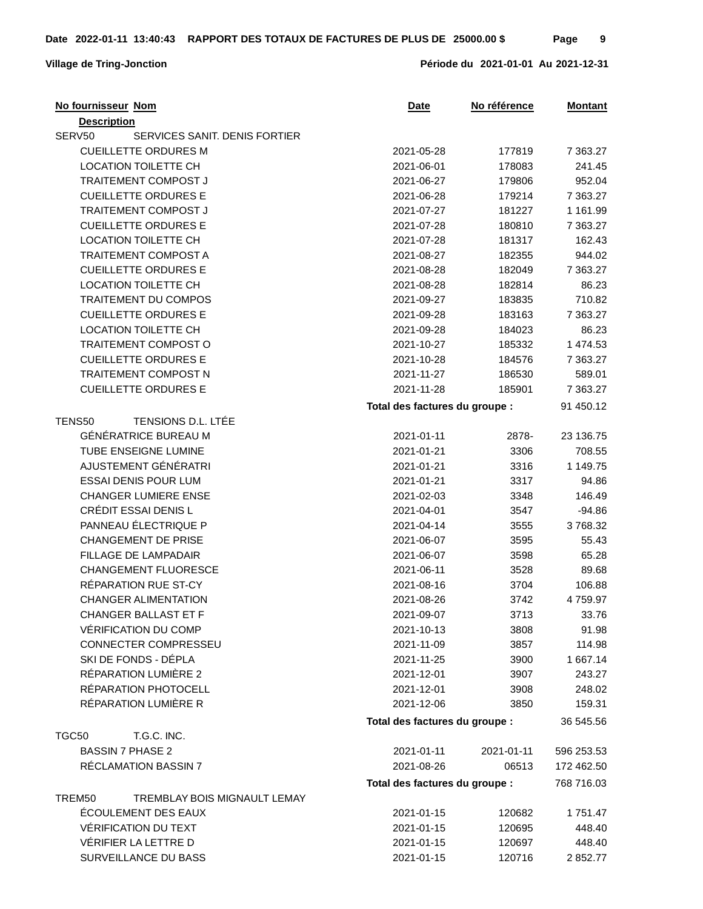| No fournisseur Nom                      | <u>Date</u>                    | No référence | <b>Montant</b> |
|-----------------------------------------|--------------------------------|--------------|----------------|
| <b>Description</b>                      |                                |              |                |
| SERV50<br>SERVICES SANIT. DENIS FORTIER |                                |              |                |
| <b>CUEILLETTE ORDURES M</b>             | 2021-05-28                     | 177819       | 7 3 6 3.27     |
| <b>LOCATION TOILETTE CH</b>             | 2021-06-01                     | 178083       | 241.45         |
| TRAITEMENT COMPOST J                    | 2021-06-27                     | 179806       | 952.04         |
| <b>CUEILLETTE ORDURES E</b>             | 2021-06-28                     | 179214       | 7 3 6 3.27     |
| TRAITEMENT COMPOST J                    | 2021-07-27                     | 181227       | 1 161.99       |
| <b>CUEILLETTE ORDURES E</b>             | 2021-07-28                     | 180810       | 7 363.27       |
| <b>LOCATION TOILETTE CH</b>             | 2021-07-28                     | 181317       | 162.43         |
| TRAITEMENT COMPOST A                    | 2021-08-27                     | 182355       | 944.02         |
| <b>CUEILLETTE ORDURES E</b>             | 2021-08-28                     | 182049       | 7 3 6 3.27     |
| <b>LOCATION TOILETTE CH</b>             | 2021-08-28                     | 182814       | 86.23          |
| TRAITEMENT DU COMPOS                    | 2021-09-27                     | 183835       | 710.82         |
| <b>CUEILLETTE ORDURES E</b>             | 2021-09-28                     | 183163       | 7 3 6 3.27     |
| <b>LOCATION TOILETTE CH</b>             | 2021-09-28                     | 184023       | 86.23          |
| TRAITEMENT COMPOST O                    | 2021-10-27                     | 185332       | 1 474.53       |
| <b>CUEILLETTE ORDURES E</b>             | 2021-10-28                     | 184576       | 7 3 6 3.27     |
| TRAITEMENT COMPOST N                    | 2021-11-27                     | 186530       | 589.01         |
| <b>CUEILLETTE ORDURES E</b>             | 2021-11-28                     | 185901       | 7 3 6 3.27     |
|                                         | Total des factures du groupe : |              | 91 450.12      |
| TENS50<br>TENSIONS D.L. LTÉE            |                                |              |                |
| GÉNÉRATRICE BUREAU M                    | 2021-01-11                     | 2878-        | 23 136.75      |
| TUBE ENSEIGNE LUMINE                    | 2021-01-21                     | 3306         | 708.55         |
| AJUSTEMENT GÉNÉRATRI                    | 2021-01-21                     | 3316         | 1 149.75       |
| <b>ESSAI DENIS POUR LUM</b>             | 2021-01-21                     | 3317         | 94.86          |
| <b>CHANGER LUMIERE ENSE</b>             | 2021-02-03                     |              | 146.49         |
| CRÉDIT ESSAI DENIS L                    | 2021-04-01                     | 3348         |                |
|                                         |                                | 3547         | $-94.86$       |
| PANNEAU ÉLECTRIQUE P                    | 2021-04-14                     | 3555         | 3768.32        |
| <b>CHANGEMENT DE PRISE</b>              | 2021-06-07                     | 3595         | 55.43          |
| <b>FILLAGE DE LAMPADAIR</b>             | 2021-06-07                     | 3598         | 65.28          |
| CHANGEMENT FLUORESCE                    | 2021-06-11                     | 3528         | 89.68          |
| RÉPARATION RUE ST-CY                    | 2021-08-16                     | 3704         | 106.88         |
| <b>CHANGER ALIMENTATION</b>             | 2021-08-26                     | 3742         | 4759.97        |
| CHANGER BALLAST ET F                    | 2021-09-07                     | 3713         | 33.76          |
| <b>VÉRIFICATION DU COMP</b>             | 2021-10-13                     | 3808         | 91.98          |
| CONNECTER COMPRESSEU                    | 2021-11-09                     | 3857         | 114.98         |
| SKI DE FONDS - DÉPLA                    | 2021-11-25                     | 3900         | 1 667.14       |
| RÉPARATION LUMIÈRE 2                    | 2021-12-01                     | 3907         | 243.27         |
| RÉPARATION PHOTOCELL                    | 2021-12-01                     | 3908         | 248.02         |
| RÉPARATION LUMIÈRE R                    | 2021-12-06                     | 3850         | 159.31         |
|                                         | Total des factures du groupe : |              | 36 545.56      |
| T.G.C. INC.<br>TGC50                    |                                |              |                |
| <b>BASSIN 7 PHASE 2</b>                 | 2021-01-11                     | 2021-01-11   | 596 253.53     |
| RÉCLAMATION BASSIN 7                    | 2021-08-26                     | 06513        | 172 462.50     |
|                                         | Total des factures du groupe : |              | 768 716.03     |
| TREMBLAY BOIS MIGNAULT LEMAY<br>TREM50  |                                |              |                |
| ÉCOULEMENT DES EAUX                     | 2021-01-15                     | 120682       | 1751.47        |
| VÉRIFICATION DU TEXT                    | 2021-01-15                     | 120695       | 448.40         |
| VÉRIFIER LA LETTRE D                    | 2021-01-15                     | 120697       | 448.40         |
| SURVEILLANCE DU BASS                    | 2021-01-15                     | 120716       | 2852.77        |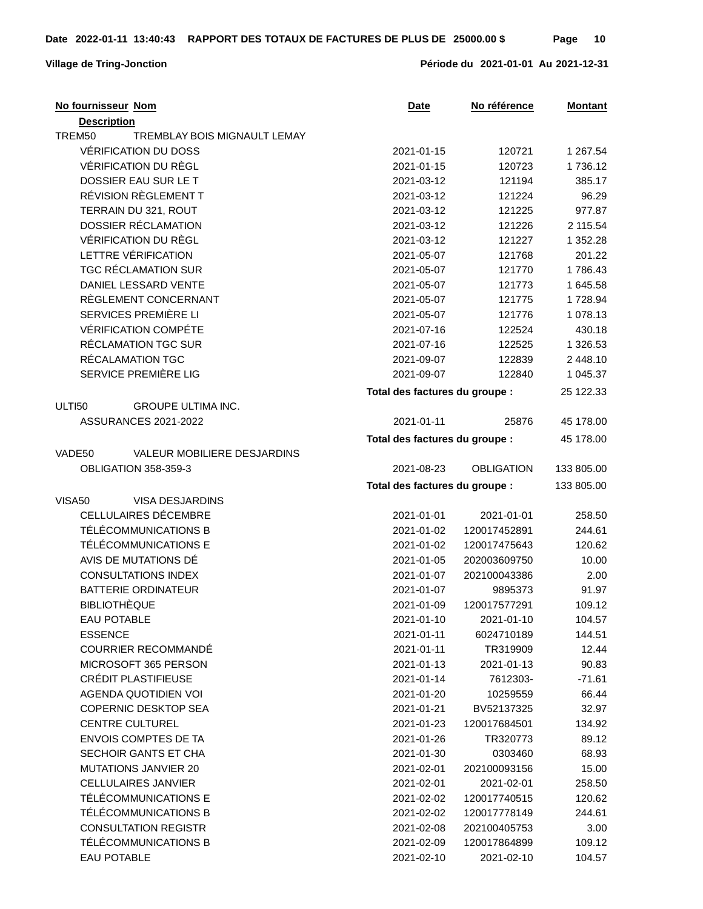## **Village de Tring-Jonction Période du 2021-01-01 Au 2021-12-31**

| No fournisseur Nom                         | <b>Date</b>                    | No référence      | <b>Montant</b> |
|--------------------------------------------|--------------------------------|-------------------|----------------|
| <b>Description</b>                         |                                |                   |                |
| TREM50<br>TREMBLAY BOIS MIGNAULT LEMAY     |                                |                   |                |
| VÉRIFICATION DU DOSS                       | 2021-01-15                     | 120721            | 1 267.54       |
| VÉRIFICATION DU RÈGL                       | 2021-01-15                     | 120723            | 1736.12        |
| DOSSIER EAU SUR LE T                       | 2021-03-12                     | 121194            | 385.17         |
| RÉVISION RÈGLEMENT T                       | 2021-03-12                     | 121224            | 96.29          |
| TERRAIN DU 321, ROUT                       | 2021-03-12                     | 121225            | 977.87         |
| DOSSIER RÉCLAMATION                        | 2021-03-12                     | 121226            | 2 115.54       |
| <b>VÉRIFICATION DU RÈGL</b>                | 2021-03-12                     | 121227            | 1 352.28       |
| LETTRE VÉRIFICATION                        | 2021-05-07                     | 121768            | 201.22         |
| <b>TGC RÉCLAMATION SUR</b>                 | 2021-05-07                     | 121770            | 1786.43        |
| DANIEL LESSARD VENTE                       | 2021-05-07                     | 121773            | 1 645.58       |
| RÈGLEMENT CONCERNANT                       | 2021-05-07                     | 121775            | 1728.94        |
| SERVICES PREMIÈRE LI                       | 2021-05-07                     | 121776            | 1 078.13       |
| <b>VÉRIFICATION COMPÉTE</b>                | 2021-07-16                     | 122524            | 430.18         |
| RÉCLAMATION TGC SUR                        | 2021-07-16                     | 122525            | 1 326.53       |
| RÉCALAMATION TGC                           | 2021-09-07                     | 122839            | 2 448.10       |
| SERVICE PREMIÈRE LIG                       | 2021-09-07                     | 122840            | 1 045.37       |
|                                            | Total des factures du groupe : |                   | 25 122.33      |
| <b>ULTI50</b><br><b>GROUPE ULTIMA INC.</b> |                                |                   |                |
| <b>ASSURANCES 2021-2022</b>                | 2021-01-11                     | 25876             | 45 178.00      |
|                                            |                                |                   |                |
|                                            | Total des factures du groupe : |                   | 45 178.00      |
| VALEUR MOBILIERE DESJARDINS<br>VADE50      |                                |                   |                |
| OBLIGATION 358-359-3                       | 2021-08-23                     | <b>OBLIGATION</b> | 133 805.00     |
|                                            | Total des factures du groupe : |                   | 133 805.00     |
| VISA50<br>VISA DESJARDINS                  |                                |                   |                |
| CELLULAIRES DÉCEMBRE                       | 2021-01-01                     | 2021-01-01        | 258.50         |
| TÉLÉCOMMUNICATIONS B                       | 2021-01-02                     | 120017452891      | 244.61         |
| TÉLÉCOMMUNICATIONS E                       | 2021-01-02                     | 120017475643      | 120.62         |
| AVIS DE MUTATIONS DÉ                       | 2021-01-05                     | 202003609750      | 10.00          |
| <b>CONSULTATIONS INDEX</b>                 | 2021-01-07                     | 202100043386      | 2.00           |
| <b>BATTERIE ORDINATEUR</b>                 | 2021-01-07                     | 9895373           | 91.97          |
| <b>BIBLIOTHÈQUE</b>                        | 2021-01-09                     | 120017577291      | 109.12         |
| <b>EAU POTABLE</b>                         | 2021-01-10                     | 2021-01-10        | 104.57         |
| <b>ESSENCE</b>                             | 2021-01-11                     | 6024710189        | 144.51         |
| <b>COURRIER RECOMMANDÉ</b>                 | 2021-01-11                     | TR319909          | 12.44          |
| MICROSOFT 365 PERSON                       | 2021-01-13                     | 2021-01-13        | 90.83          |
| CRÉDIT PLASTIFIEUSE                        | 2021-01-14                     | 7612303-          | $-71.61$       |
| <b>AGENDA QUOTIDIEN VOI</b>                | 2021-01-20                     | 10259559          | 66.44          |
| <b>COPERNIC DESKTOP SEA</b>                | 2021-01-21                     | BV52137325        | 32.97          |
| <b>CENTRE CULTUREL</b>                     | 2021-01-23                     | 120017684501      | 134.92         |
| <b>ENVOIS COMPTES DE TA</b>                | 2021-01-26                     | TR320773          | 89.12          |
| SECHOIR GANTS ET CHA                       | 2021-01-30                     | 0303460           | 68.93          |
| MUTATIONS JANVIER 20                       | 2021-02-01                     | 202100093156      | 15.00          |
| <b>CELLULAIRES JANVIER</b>                 | 2021-02-01                     | 2021-02-01        | 258.50         |
| TÉLÉCOMMUNICATIONS E                       | 2021-02-02                     | 120017740515      | 120.62         |
| TÉLÉCOMMUNICATIONS B                       | 2021-02-02                     | 120017778149      | 244.61         |
| <b>CONSULTATION REGISTR</b>                | 2021-02-08                     | 202100405753      | 3.00           |
| TÉLÉCOMMUNICATIONS B                       | 2021-02-09                     | 120017864899      | 109.12         |
| <b>EAU POTABLE</b>                         | 2021-02-10                     | 2021-02-10        | 104.57         |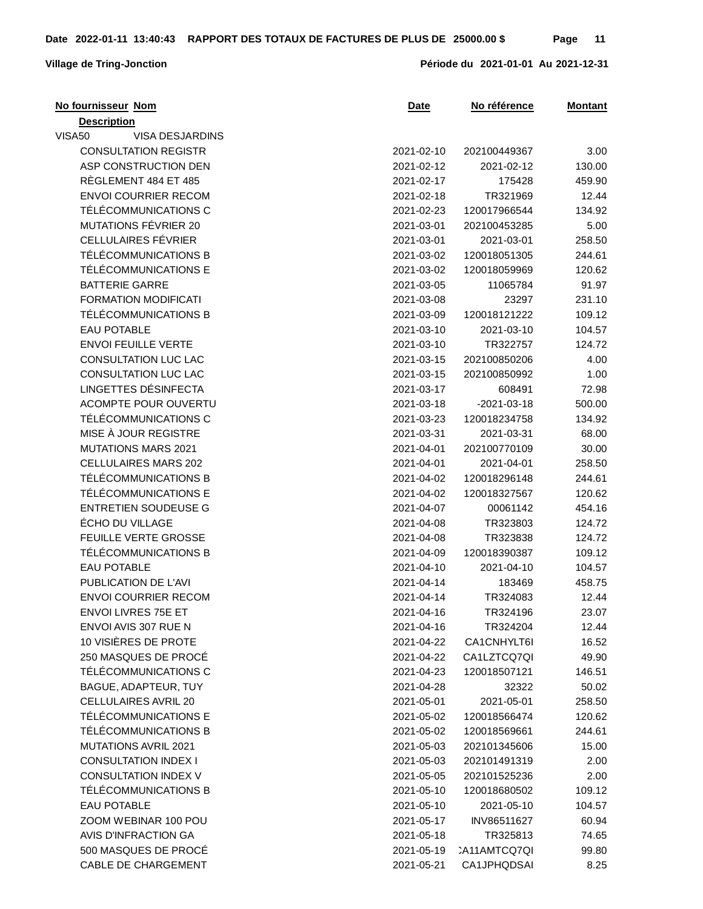| No fournisseur Nom          | <b>Date</b> | No référence        | <u>Montant</u> |
|-----------------------------|-------------|---------------------|----------------|
| <b>Description</b>          |             |                     |                |
| VISA50<br>VISA DESJARDINS   |             |                     |                |
| <b>CONSULTATION REGISTR</b> | 2021-02-10  | 202100449367        | 3.00           |
| ASP CONSTRUCTION DEN        | 2021-02-12  | 2021-02-12          | 130.00         |
| RÈGLEMENT 484 ET 485        | 2021-02-17  | 175428              | 459.90         |
| <b>ENVOI COURRIER RECOM</b> | 2021-02-18  | TR321969            | 12.44          |
| TÉLÉCOMMUNICATIONS C        | 2021-02-23  | 120017966544        | 134.92         |
| MUTATIONS FÉVRIER 20        | 2021-03-01  | 202100453285        | 5.00           |
| CELLULAIRES FÉVRIER         | 2021-03-01  | 2021-03-01          | 258.50         |
| TÉLÉCOMMUNICATIONS B        | 2021-03-02  | 120018051305        | 244.61         |
| TÉLÉCOMMUNICATIONS E        | 2021-03-02  | 120018059969        | 120.62         |
| <b>BATTERIE GARRE</b>       | 2021-03-05  | 11065784            | 91.97          |
| <b>FORMATION MODIFICATI</b> | 2021-03-08  | 23297               | 231.10         |
| TÉLÉCOMMUNICATIONS B        | 2021-03-09  | 120018121222        | 109.12         |
| <b>EAU POTABLE</b>          | 2021-03-10  | 2021-03-10          | 104.57         |
| <b>ENVOI FEUILLE VERTE</b>  | 2021-03-10  | TR322757            | 124.72         |
| <b>CONSULTATION LUC LAC</b> | 2021-03-15  | 202100850206        | 4.00           |
| <b>CONSULTATION LUC LAC</b> | 2021-03-15  | 202100850992        | 1.00           |
| LINGETTES DÉSINFECTA        | 2021-03-17  | 608491              | 72.98          |
| ACOMPTE POUR OUVERTU        | 2021-03-18  | $-2021 - 03 - 18$   | 500.00         |
| TÉLÉCOMMUNICATIONS C        | 2021-03-23  | 120018234758        | 134.92         |
| MISE À JOUR REGISTRE        | 2021-03-31  | 2021-03-31          | 68.00          |
| <b>MUTATIONS MARS 2021</b>  | 2021-04-01  | 202100770109        | 30.00          |
| <b>CELLULAIRES MARS 202</b> | 2021-04-01  | 2021-04-01          | 258.50         |
| TÉLÉCOMMUNICATIONS B        | 2021-04-02  | 120018296148        | 244.61         |
| TÉLÉCOMMUNICATIONS E        | 2021-04-02  | 120018327567        | 120.62         |
| <b>ENTRETIEN SOUDEUSE G</b> | 2021-04-07  | 00061142            | 454.16         |
| ÉCHO DU VILLAGE             | 2021-04-08  | TR323803            | 124.72         |
| FEUILLE VERTE GROSSE        | 2021-04-08  | TR323838            | 124.72         |
| TÉLÉCOMMUNICATIONS B        | 2021-04-09  | 120018390387        | 109.12         |
| <b>EAU POTABLE</b>          | 2021-04-10  | 2021-04-10          | 104.57         |
| PUBLICATION DE L'AVI        | 2021-04-14  | 183469              | 458.75         |
| <b>ENVOI COURRIER RECOM</b> | 2021-04-14  | TR324083            | 12.44          |
| <b>ENVOLLIVRES 75E ET</b>   | 2021-04-16  | TR324196            | 23.07          |
| ENVOI AVIS 307 RUE N        | 2021-04-16  | TR324204            | 12.44          |
| 10 VISIÈRES DE PROTE        | 2021-04-22  | CA1CNHYLT6I         | 16.52          |
| 250 MASQUES DE PROCÉ        | 2021-04-22  | CA1LZTCQ7QI         | 49.90          |
| TÉLÉCOMMUNICATIONS C        | 2021-04-23  | 120018507121        | 146.51         |
| BAGUE, ADAPTEUR, TUY        | 2021-04-28  | 32322               | 50.02          |
| CELLULAIRES AVRIL 20        | 2021-05-01  | 2021-05-01          | 258.50         |
| TÉLÉCOMMUNICATIONS E        | 2021-05-02  | 120018566474        | 120.62         |
| TÉLÉCOMMUNICATIONS B        | 2021-05-02  | 120018569661        | 244.61         |
| <b>MUTATIONS AVRIL 2021</b> | 2021-05-03  | 202101345606        | 15.00          |
| <b>CONSULTATION INDEX I</b> | 2021-05-03  | 202101491319        | 2.00           |
| <b>CONSULTATION INDEX V</b> | 2021-05-05  | 202101525236        | 2.00           |
| TÉLÉCOMMUNICATIONS B        | 2021-05-10  | 120018680502        | 109.12         |
| <b>EAU POTABLE</b>          | 2021-05-10  | 2021-05-10          | 104.57         |
| ZOOM WEBINAR 100 POU        | 2021-05-17  | INV86511627         | 60.94          |
| AVIS D'INFRACTION GA        | 2021-05-18  | TR325813            | 74.65          |
| 500 MASQUES DE PROCÉ        | 2021-05-19  | <b>CA11AMTCQ7QI</b> | 99.80          |
| <b>CABLE DE CHARGEMENT</b>  | 2021-05-21  | CA1JPHQDSAI         | 8.25           |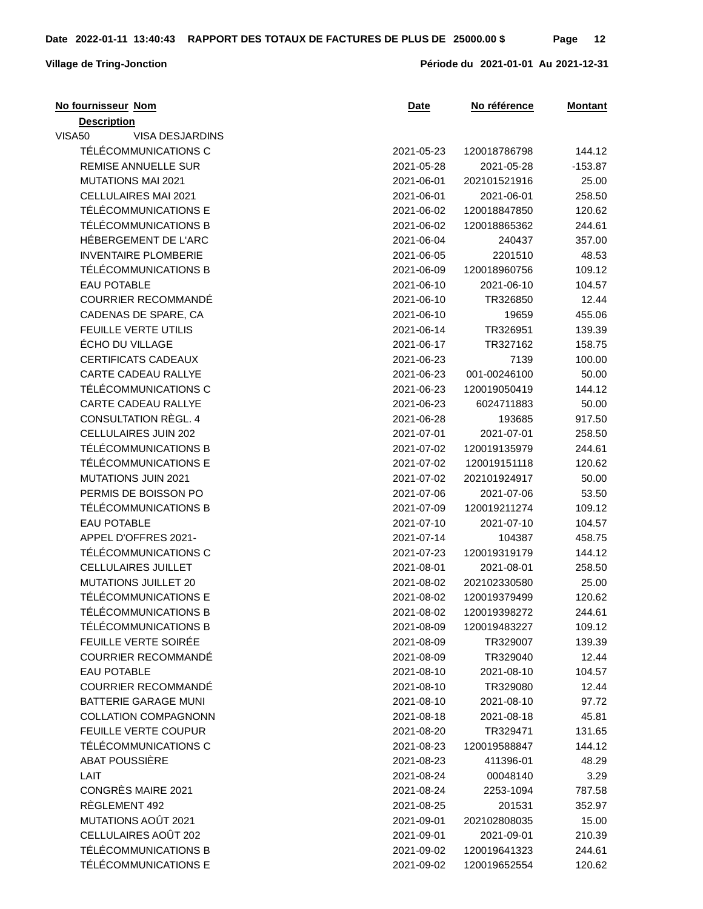| No fournisseur Nom          | Date       | No référence | <b>Montant</b> |
|-----------------------------|------------|--------------|----------------|
| <b>Description</b>          |            |              |                |
| VISA50<br>VISA DESJARDINS   |            |              |                |
| TÉLÉCOMMUNICATIONS C        | 2021-05-23 | 120018786798 | 144.12         |
| REMISE ANNUELLE SUR         | 2021-05-28 | 2021-05-28   | $-153.87$      |
| <b>MUTATIONS MAI 2021</b>   | 2021-06-01 | 202101521916 | 25.00          |
| CELLULAIRES MAI 2021        | 2021-06-01 | 2021-06-01   | 258.50         |
| TÉLÉCOMMUNICATIONS E        | 2021-06-02 | 120018847850 | 120.62         |
| TÉLÉCOMMUNICATIONS B        | 2021-06-02 | 120018865362 | 244.61         |
| HÉBERGEMENT DE L'ARC        | 2021-06-04 | 240437       | 357.00         |
| <b>INVENTAIRE PLOMBERIE</b> | 2021-06-05 | 2201510      | 48.53          |
| TÉLÉCOMMUNICATIONS B        | 2021-06-09 | 120018960756 | 109.12         |
| <b>EAU POTABLE</b>          | 2021-06-10 | 2021-06-10   | 104.57         |
| COURRIER RECOMMANDÉ         | 2021-06-10 | TR326850     | 12.44          |
| CADENAS DE SPARE, CA        | 2021-06-10 | 19659        | 455.06         |
| FEUILLE VERTE UTILIS        | 2021-06-14 | TR326951     | 139.39         |
| ÉCHO DU VILLAGE             | 2021-06-17 | TR327162     | 158.75         |
| <b>CERTIFICATS CADEAUX</b>  | 2021-06-23 | 7139         | 100.00         |
| CARTE CADEAU RALLYE         | 2021-06-23 | 001-00246100 | 50.00          |
| TÉLÉCOMMUNICATIONS C        | 2021-06-23 | 120019050419 | 144.12         |
| CARTE CADEAU RALLYE         | 2021-06-23 | 6024711883   | 50.00          |
| CONSULTATION RÈGL. 4        | 2021-06-28 | 193685       | 917.50         |
| CELLULAIRES JUIN 202        | 2021-07-01 | 2021-07-01   | 258.50         |
| TÉLÉCOMMUNICATIONS B        | 2021-07-02 | 120019135979 | 244.61         |
| TÉLÉCOMMUNICATIONS E        | 2021-07-02 | 120019151118 | 120.62         |
| <b>MUTATIONS JUIN 2021</b>  | 2021-07-02 | 202101924917 | 50.00          |
| PERMIS DE BOISSON PO        | 2021-07-06 | 2021-07-06   | 53.50          |
| TÉLÉCOMMUNICATIONS B        | 2021-07-09 | 120019211274 | 109.12         |
| <b>EAU POTABLE</b>          | 2021-07-10 | 2021-07-10   | 104.57         |
| APPEL D'OFFRES 2021-        | 2021-07-14 | 104387       | 458.75         |
| TÉLÉCOMMUNICATIONS C        | 2021-07-23 | 120019319179 | 144.12         |
| CELLULAIRES JUILLET         | 2021-08-01 | 2021-08-01   | 258.50         |
| MUTATIONS JUILLET 20        | 2021-08-02 | 202102330580 | 25.00          |
| TÉLÉCOMMUNICATIONS E        | 2021-08-02 | 120019379499 | 120.62         |
| TÉLÉCOMMUNICATIONS B        | 2021-08-02 | 120019398272 | 244.61         |
| TÉLÉCOMMUNICATIONS B        | 2021-08-09 | 120019483227 | 109.12         |
| FEUILLE VERTE SOIRÉE        | 2021-08-09 | TR329007     | 139.39         |
| COURRIER RECOMMANDÉ         | 2021-08-09 | TR329040     | 12.44          |
| <b>EAU POTABLE</b>          | 2021-08-10 | 2021-08-10   | 104.57         |
| <b>COURRIER RECOMMANDÉ</b>  | 2021-08-10 | TR329080     | 12.44          |
| <b>BATTERIE GARAGE MUNI</b> | 2021-08-10 | 2021-08-10   | 97.72          |
| <b>COLLATION COMPAGNONN</b> | 2021-08-18 | 2021-08-18   | 45.81          |
| FEUILLE VERTE COUPUR        | 2021-08-20 | TR329471     | 131.65         |
| TÉLÉCOMMUNICATIONS C        | 2021-08-23 | 120019588847 | 144.12         |
| ABAT POUSSIÈRE              | 2021-08-23 | 411396-01    | 48.29          |
| <b>LAIT</b>                 | 2021-08-24 | 00048140     | 3.29           |
| CONGRÈS MAIRE 2021          | 2021-08-24 | 2253-1094    | 787.58         |
| RÈGLEMENT 492               | 2021-08-25 | 201531       | 352.97         |
| MUTATIONS AOÛT 2021         | 2021-09-01 | 202102808035 | 15.00          |
| CELLULAIRES AOÛT 202        | 2021-09-01 | 2021-09-01   | 210.39         |
| TÉLÉCOMMUNICATIONS B        | 2021-09-02 | 120019641323 | 244.61         |
| TÉLÉCOMMUNICATIONS E        | 2021-09-02 | 120019652554 | 120.62         |
|                             |            |              |                |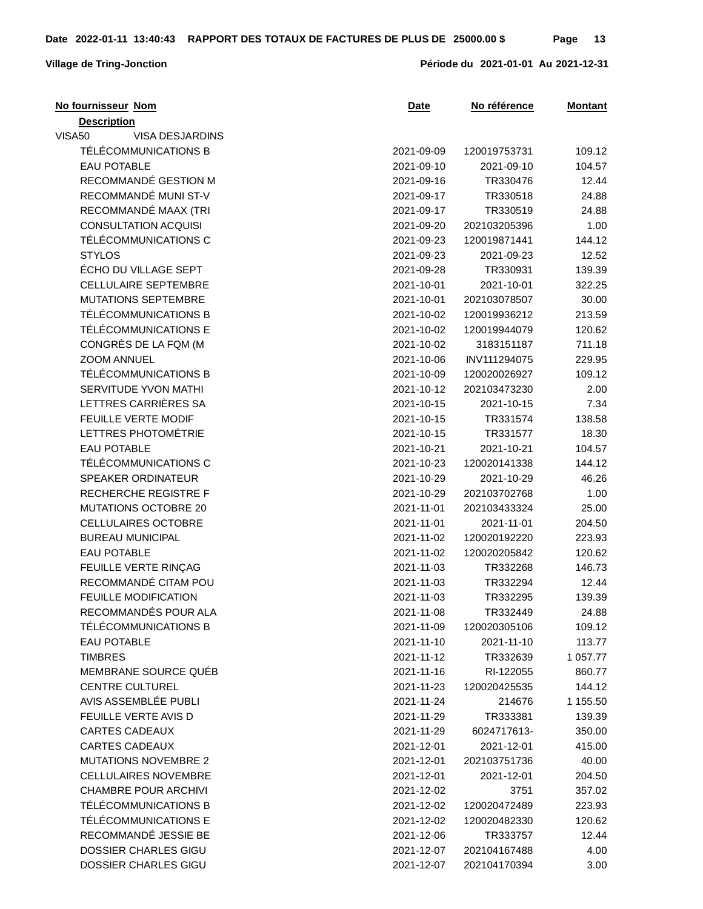| No fournisseur Nom          | <b>Date</b> | No référence | <u>Montant</u> |
|-----------------------------|-------------|--------------|----------------|
| <b>Description</b>          |             |              |                |
| VISA50<br>VISA DESJARDINS   |             |              |                |
| TÉLÉCOMMUNICATIONS B        | 2021-09-09  | 120019753731 | 109.12         |
| <b>EAU POTABLE</b>          | 2021-09-10  | 2021-09-10   | 104.57         |
| RECOMMANDÉ GESTION M        | 2021-09-16  | TR330476     | 12.44          |
| RECOMMANDÉ MUNI ST-V        | 2021-09-17  | TR330518     | 24.88          |
| RECOMMANDÉ MAAX (TRI        | 2021-09-17  | TR330519     | 24.88          |
| <b>CONSULTATION ACQUISI</b> | 2021-09-20  | 202103205396 | 1.00           |
| TÉLÉCOMMUNICATIONS C        | 2021-09-23  | 120019871441 | 144.12         |
| <b>STYLOS</b>               | 2021-09-23  | 2021-09-23   | 12.52          |
| ÉCHO DU VILLAGE SEPT        | 2021-09-28  | TR330931     | 139.39         |
| <b>CELLULAIRE SEPTEMBRE</b> | 2021-10-01  | 2021-10-01   | 322.25         |
| <b>MUTATIONS SEPTEMBRE</b>  | 2021-10-01  | 202103078507 | 30.00          |
| TÉLÉCOMMUNICATIONS B        | 2021-10-02  | 120019936212 | 213.59         |
| TÉLÉCOMMUNICATIONS E        | 2021-10-02  | 120019944079 | 120.62         |
| CONGRÈS DE LA FQM (M        | 2021-10-02  | 3183151187   | 711.18         |
| ZOOM ANNUEL                 | 2021-10-06  | INV111294075 | 229.95         |
| TÉLÉCOMMUNICATIONS B        | 2021-10-09  | 120020026927 | 109.12         |
| SERVITUDE YVON MATHI        | 2021-10-12  | 202103473230 | 2.00           |
| LETTRES CARRIÈRES SA        | 2021-10-15  | 2021-10-15   | 7.34           |
| FEUILLE VERTE MODIF         | 2021-10-15  | TR331574     | 138.58         |
| LETTRES PHOTOMÉTRIE         | 2021-10-15  | TR331577     | 18.30          |
| <b>EAU POTABLE</b>          | 2021-10-21  | 2021-10-21   | 104.57         |
| TÉLÉCOMMUNICATIONS C        | 2021-10-23  | 120020141338 | 144.12         |
| SPEAKER ORDINATEUR          | 2021-10-29  | 2021-10-29   | 46.26          |
| RECHERCHE REGISTRE F        | 2021-10-29  | 202103702768 | 1.00           |
| MUTATIONS OCTOBRE 20        | 2021-11-01  | 202103433324 | 25.00          |
| CELLULAIRES OCTOBRE         | 2021-11-01  | 2021-11-01   | 204.50         |
| <b>BUREAU MUNICIPAL</b>     | 2021-11-02  | 120020192220 | 223.93         |
| <b>EAU POTABLE</b>          | 2021-11-02  | 120020205842 | 120.62         |
| FEUILLE VERTE RINÇAG        | 2021-11-03  | TR332268     | 146.73         |
| RECOMMANDÉ CITAM POU        | 2021-11-03  | TR332294     | 12.44          |
| <b>FEUILLE MODIFICATION</b> | 2021-11-03  | TR332295     | 139.39         |
| RECOMMANDÉS POUR ALA        | 2021-11-08  | TR332449     | 24.88          |
| TÉLÉCOMMUNICATIONS B        | 2021-11-09  | 120020305106 | 109.12         |
| <b>EAU POTABLE</b>          | 2021-11-10  | 2021-11-10   | 113.77         |
| <b>TIMBRES</b>              | 2021-11-12  | TR332639     | 1 057.77       |
| MEMBRANE SOURCE QUÉB        | 2021-11-16  | RI-122055    | 860.77         |
| <b>CENTRE CULTUREL</b>      | 2021-11-23  | 120020425535 | 144.12         |
| AVIS ASSEMBLÉE PUBLI        | 2021-11-24  | 214676       | 1 155.50       |
| FEUILLE VERTE AVIS D        | 2021-11-29  | TR333381     | 139.39         |
| <b>CARTES CADEAUX</b>       | 2021-11-29  | 6024717613-  | 350.00         |
| <b>CARTES CADEAUX</b>       | 2021-12-01  | 2021-12-01   | 415.00         |
| <b>MUTATIONS NOVEMBRE 2</b> | 2021-12-01  | 202103751736 | 40.00          |
| <b>CELLULAIRES NOVEMBRE</b> | 2021-12-01  | 2021-12-01   | 204.50         |
| <b>CHAMBRE POUR ARCHIVI</b> | 2021-12-02  | 3751         | 357.02         |
| TÉLÉCOMMUNICATIONS B        | 2021-12-02  | 120020472489 | 223.93         |
| TÉLÉCOMMUNICATIONS E        | 2021-12-02  | 120020482330 | 120.62         |
| RECOMMANDÉ JESSIE BE        | 2021-12-06  | TR333757     | 12.44          |
| DOSSIER CHARLES GIGU        | 2021-12-07  | 202104167488 | 4.00           |
| DOSSIER CHARLES GIGU        | 2021-12-07  | 202104170394 | 3.00           |